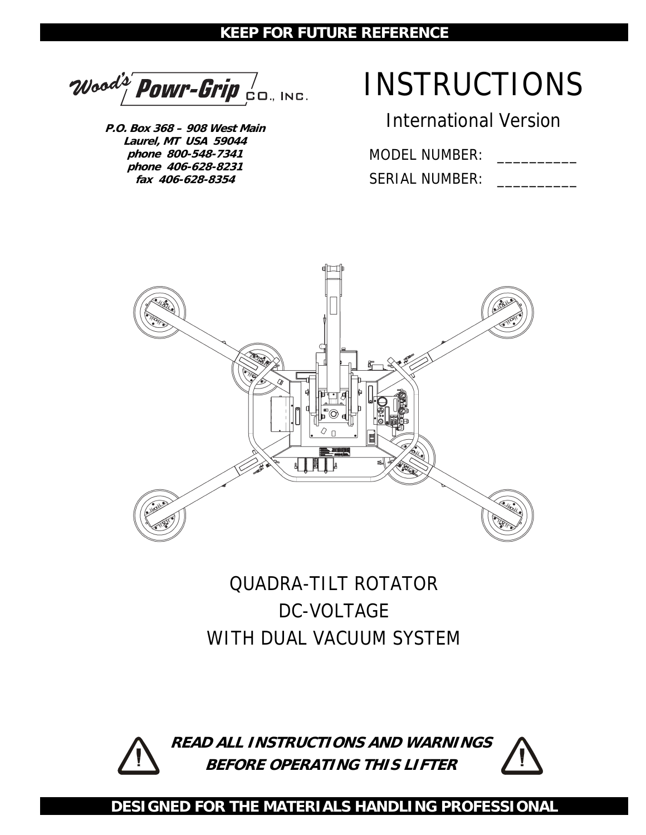#### **KEEP FOR FUTURE REFERENCE**

Wood's' POWr-Grip  $\frac{1}{2}$ 

**P.O. Box 368 – 908 West Main Laurel, MT USA 59044 phone 800-548-7341 phone 406-628-8231 fax 406-628-8354** 

# INSTRUCTIONS

International Version

MODEL NUMBER:

SERIAL NUMBER:



# QUADRA-TILT ROTATOR DC-VOLTAGE WITH DUAL VACUUM SYSTEM



**READ ALL INSTRUCTIONS AND WARNINGS BEFORE OPERATING THIS LIFTER**



**DESIGNED FOR THE MATERIALS HANDLING PROFESSIONAL**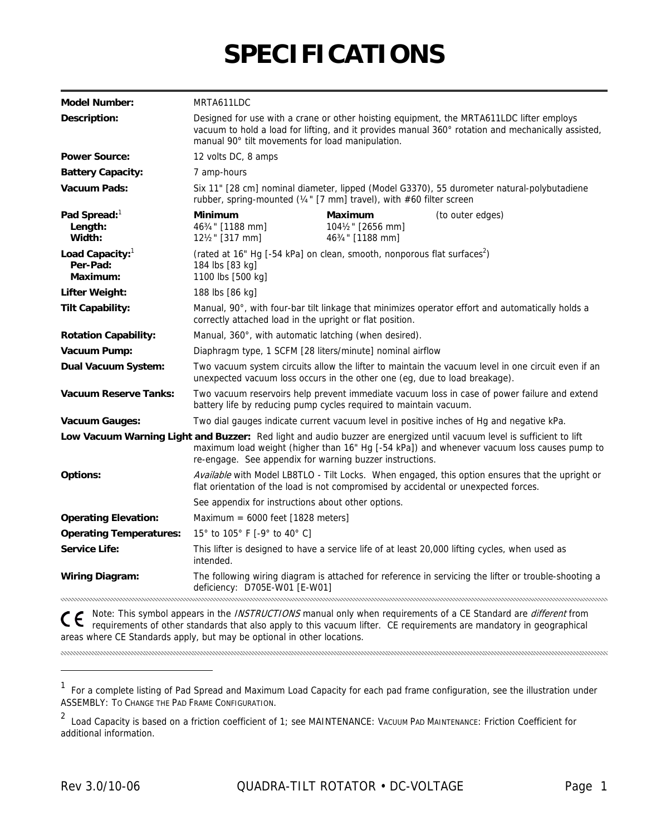# **SPECIFICATIONS**

| <b>Model Number:</b>                              | MRTA611LDC                                                                                                                                                                                                                                                                       |                                                  |                                                                                                                                         |  |
|---------------------------------------------------|----------------------------------------------------------------------------------------------------------------------------------------------------------------------------------------------------------------------------------------------------------------------------------|--------------------------------------------------|-----------------------------------------------------------------------------------------------------------------------------------------|--|
| Description:                                      | Designed for use with a crane or other hoisting equipment, the MRTA611LDC lifter employs<br>vacuum to hold a load for lifting, and it provides manual 360° rotation and mechanically assisted,<br>manual 90° tilt movements for load manipulation.                               |                                                  |                                                                                                                                         |  |
| <b>Power Source:</b>                              | 12 volts DC, 8 amps                                                                                                                                                                                                                                                              |                                                  |                                                                                                                                         |  |
| <b>Battery Capacity:</b>                          | 7 amp-hours                                                                                                                                                                                                                                                                      |                                                  |                                                                                                                                         |  |
| <b>Vacuum Pads:</b>                               | Six 11" [28 cm] nominal diameter, lipped (Model G3370), 55 durometer natural-polybutadiene<br>rubber, spring-mounted ( $\frac{1}{4}$ " [7 mm] travel), with #60 filter screen                                                                                                    |                                                  |                                                                                                                                         |  |
| Pad Spread: <sup>1</sup><br>Length:<br>Width:     | <b>Minimum</b><br>463/4" [1188 mm]<br>121/2" [317 mm]                                                                                                                                                                                                                            | Maximum<br>1041/2" [2656 mm]<br>463/4" [1188 mm] | (to outer edges)                                                                                                                        |  |
| Load Capacity: $1$<br>Per-Pad:<br><b>Maximum:</b> | (rated at 16" Hg [-54 kPa] on clean, smooth, nonporous flat surfaces <sup>2</sup> )<br>184 lbs [83 kg]<br>1100 lbs [500 kg]                                                                                                                                                      |                                                  |                                                                                                                                         |  |
| <b>Lifter Weight:</b>                             | 188 lbs [86 kg]                                                                                                                                                                                                                                                                  |                                                  |                                                                                                                                         |  |
| <b>Tilt Capability:</b>                           | Manual, 90°, with four-bar tilt linkage that minimizes operator effort and automatically holds a<br>correctly attached load in the upright or flat position.                                                                                                                     |                                                  |                                                                                                                                         |  |
| <b>Rotation Capability:</b>                       | Manual, 360°, with automatic latching (when desired).                                                                                                                                                                                                                            |                                                  |                                                                                                                                         |  |
| Vacuum Pump:                                      | Diaphragm type, 1 SCFM [28 liters/minute] nominal airflow                                                                                                                                                                                                                        |                                                  |                                                                                                                                         |  |
| Dual Vacuum System:                               | Two vacuum system circuits allow the lifter to maintain the vacuum level in one circuit even if an<br>unexpected vacuum loss occurs in the other one (eg, due to load breakage).                                                                                                 |                                                  |                                                                                                                                         |  |
| <b>Vacuum Reserve Tanks:</b>                      | battery life by reducing pump cycles required to maintain vacuum.                                                                                                                                                                                                                |                                                  | Two vacuum reservoirs help prevent immediate vacuum loss in case of power failure and extend                                            |  |
| Vacuum Gauges:                                    |                                                                                                                                                                                                                                                                                  |                                                  | Two dial gauges indicate current vacuum level in positive inches of Hg and negative kPa.                                                |  |
|                                                   | Low Vacuum Warning Light and Buzzer: Red light and audio buzzer are energized until vacuum level is sufficient to lift<br>maximum load weight (higher than 16" Hg [-54 kPa]) and whenever vacuum loss causes pump to<br>re-engage. See appendix for warning buzzer instructions. |                                                  |                                                                                                                                         |  |
| <b>Options:</b>                                   | flat orientation of the load is not compromised by accidental or unexpected forces.                                                                                                                                                                                              |                                                  | Available with Model LB8TLO - Tilt Locks. When engaged, this option ensures that the upright or                                         |  |
|                                                   | See appendix for instructions about other options.                                                                                                                                                                                                                               |                                                  |                                                                                                                                         |  |
| <b>Operating Elevation:</b>                       | Maximum = $6000$ feet [1828 meters]                                                                                                                                                                                                                                              |                                                  |                                                                                                                                         |  |
| <b>Operating Temperatures:</b>                    | 15° to 105° F [-9° to 40° C]                                                                                                                                                                                                                                                     |                                                  |                                                                                                                                         |  |
| <b>Service Life:</b>                              | intended.                                                                                                                                                                                                                                                                        |                                                  | This lifter is designed to have a service life of at least 20,000 lifting cycles, when used as                                          |  |
| <b>Wiring Diagram:</b>                            | deficiency: D705E-W01 [E-W01]                                                                                                                                                                                                                                                    |                                                  | The following wiring diagram is attached for reference in servicing the lifter or trouble-shooting a                                    |  |
|                                                   |                                                                                                                                                                                                                                                                                  |                                                  | $\bullet$ Mote: This symbol annears in the <i>INSTRUCTIONS</i> manual only when requirements of a CE Standard are <i>different</i> from |  |

Note: This symbol appears in the *INSTRUCTIONS* manual only when requirements of a CE Standard are *different* from requirements of other standards that also apply to this vacuum lifter. CE requirements are mandatory in geographical areas where CE Standards apply, but may be optional in other locations.

<sup>&</sup>lt;sup>1</sup> For a complete listing of Pad Spread and Maximum Load Capacity for each pad frame configuration, see the illustration under ASSEMBLY: TO CHANGE THE PAD FRAME CONFIGURATION.

<sup>2</sup> Load Capacity is based on a friction coefficient of 1; see MAINTENANCE: VACUUM PAD MAINTENANCE: Friction Coefficient for additional information.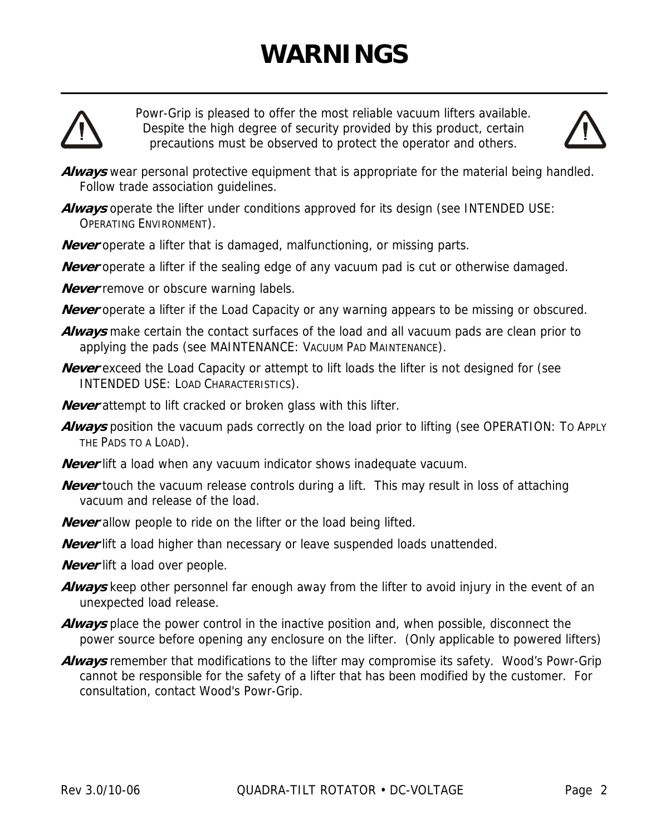# **WARNINGS**



Powr-Grip is pleased to offer the most reliable vacuum lifters available. Despite the high degree of security provided by this product, certain precautions must be observed to protect the operator and others.



- **Always** wear personal protective equipment that is appropriate for the material being handled. Follow trade association guidelines.
- Always operate the lifter under conditions approved for its design (see INTENDED USE: OPERATING ENVIRONMENT).
- **Never** operate a lifter that is damaged, malfunctioning, or missing parts.
- **Never** operate a lifter if the sealing edge of any vacuum pad is cut or otherwise damaged.
- **Never** remove or obscure warning labels.
- **Never** operate a lifter if the Load Capacity or any warning appears to be missing or obscured.
- **Always** make certain the contact surfaces of the load and all vacuum pads are clean prior to applying the pads (see MAINTENANCE: VACUUM PAD MAINTENANCE).
- **Never** exceed the Load Capacity or attempt to lift loads the lifter is not designed for (see INTENDED USE: LOAD CHARACTERISTICS).
- **Never** attempt to lift cracked or broken glass with this lifter.
- **Always** position the vacuum pads correctly on the load prior to lifting (see OPERATION: TO APPLY THE PADS TO A LOAD).
- **Never** lift a load when any vacuum indicator shows inadequate vacuum.
- **Never** touch the vacuum release controls during a lift. This may result in loss of attaching vacuum and release of the load.
- **Never** allow people to ride on the lifter or the load being lifted.
- **Never** lift a load higher than necessary or leave suspended loads unattended.
- **Never** lift a load over people.
- **Always** keep other personnel far enough away from the lifter to avoid injury in the event of an unexpected load release.
- **Always** place the power control in the inactive position and, when possible, disconnect the power source before opening any enclosure on the lifter. (Only applicable to powered lifters)
- **Always** remember that modifications to the lifter may compromise its safety. Wood's Powr-Grip cannot be responsible for the safety of a lifter that has been modified by the customer. For consultation, contact Wood's Powr-Grip.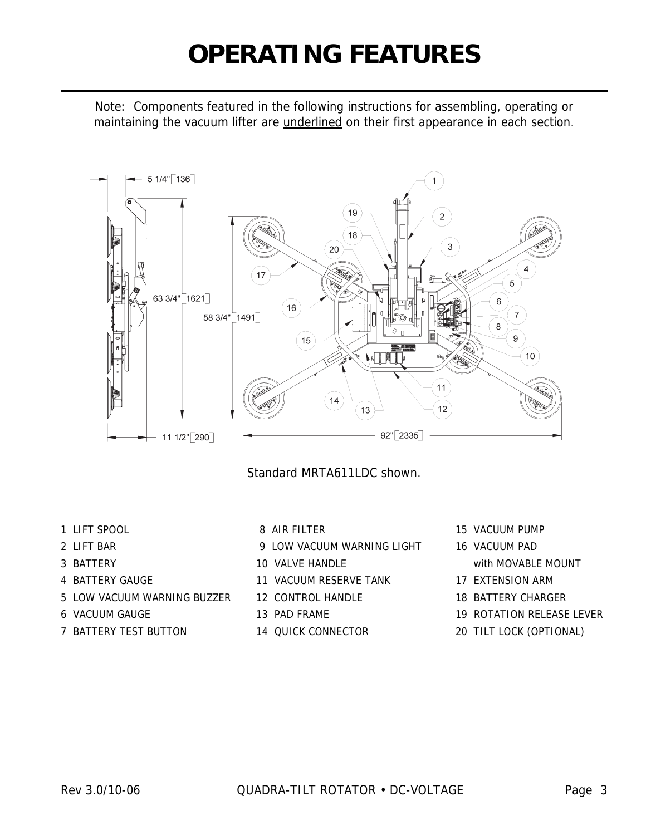# **OPERATING FEATURES**

Note: Components featured in the following instructions for assembling, operating or maintaining the vacuum lifter are underlined on their first appearance in each section.



Standard MRTA611LDC shown.

- 
- 
- 
- 
- 5 LOW VACUUM WARNING BUZZER 12 CONTROL HANDLE 18 BATTERY CHARGER
- 6 VACUUM GAUGE 13 PAD FRAME 19 ROTATION RELEASE LEVER
- 7 BATTERY TEST BUTTON 14 QUICK CONNECTOR 20 TILT LOCK (OPTIONAL)
- 
- 2 LIFT BAR 9 LOW VACUUM WARNING LIGHT 16 VACUUM PAD
- 3 BATTERY **10 VALVE HANDLE** With MOVABLE MOUNT
- 4 BATTERY GAUGE 11 VACUUM RESERVE TANK 17 EXTENSION ARM
	-
	-
	-
- 1 LIFT SPOOL 8 AIR FILTER 15 VACUUM PUMP
	-
	-
	-
	-
	-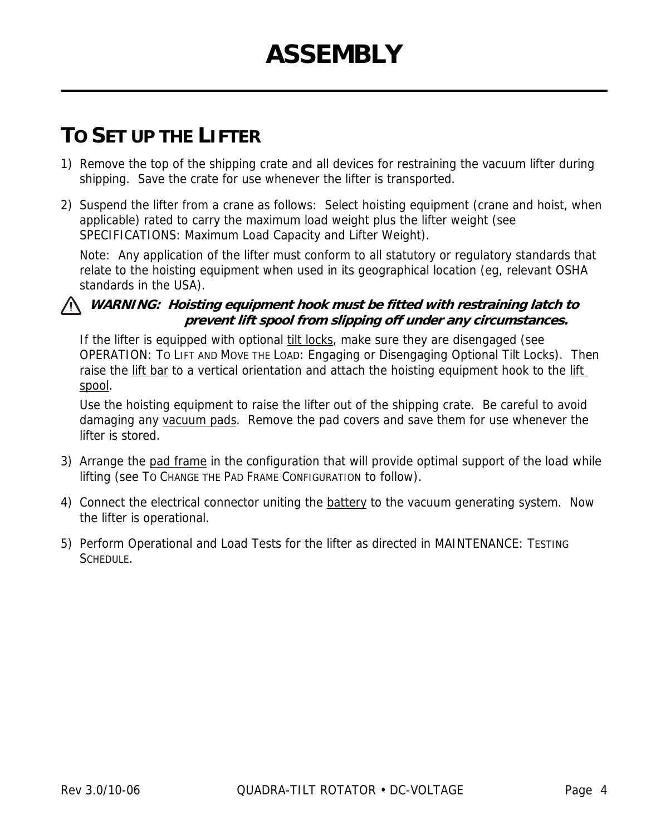# **TO SET UP THE LIFTER**

- 1) Remove the top of the shipping crate and all devices for restraining the vacuum lifter during shipping. Save the crate for use whenever the lifter is transported.
- 2) Suspend the lifter from a crane as follows: Select hoisting equipment (crane and hoist, when applicable) rated to carry the maximum load weight plus the lifter weight (see SPECIFICATIONS: Maximum Load Capacity and Lifter Weight).

Note: Any application of the lifter must conform to all statutory or regulatory standards that relate to the hoisting equipment when used in its geographical location (eg, relevant OSHA standards in the USA).

#### **WARNING: Hoisting equipment hook must be fitted with restraining latch to prevent lift spool from slipping off under any circumstances.**

If the lifter is equipped with optional tilt locks, make sure they are disengaged (see OPERATION: TO LIFT AND MOVE THE LOAD: Engaging or Disengaging Optional Tilt Locks). Then raise the lift bar to a vertical orientation and attach the hoisting equipment hook to the lift spool.

Use the hoisting equipment to raise the lifter out of the shipping crate. Be careful to avoid damaging any vacuum pads. Remove the pad covers and save them for use whenever the lifter is stored.

- 3) Arrange the pad frame in the configuration that will provide optimal support of the load while lifting (see TO CHANGE THE PAD FRAME CONFIGURATION to follow).
- 4) Connect the electrical connector uniting the battery to the vacuum generating system. Now the lifter is operational.
- 5) Perform Operational and Load Tests for the lifter as directed in MAINTENANCE: TESTING SCHEDULE.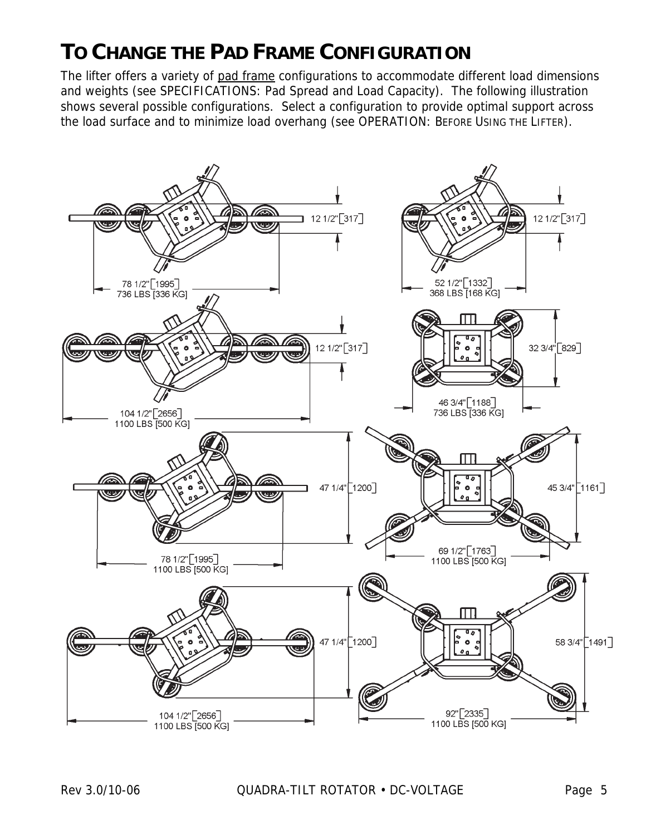# **TO CHANGE THE PAD FRAME CONFIGURATION**

The lifter offers a variety of pad frame configurations to accommodate different load dimensions and weights (see SPECIFICATIONS: Pad Spread and Load Capacity). The following illustration shows several possible configurations. Select a configuration to provide optimal support across the load surface and to minimize load overhang (see OPERATION: BEFORE USING THE LIFTER).

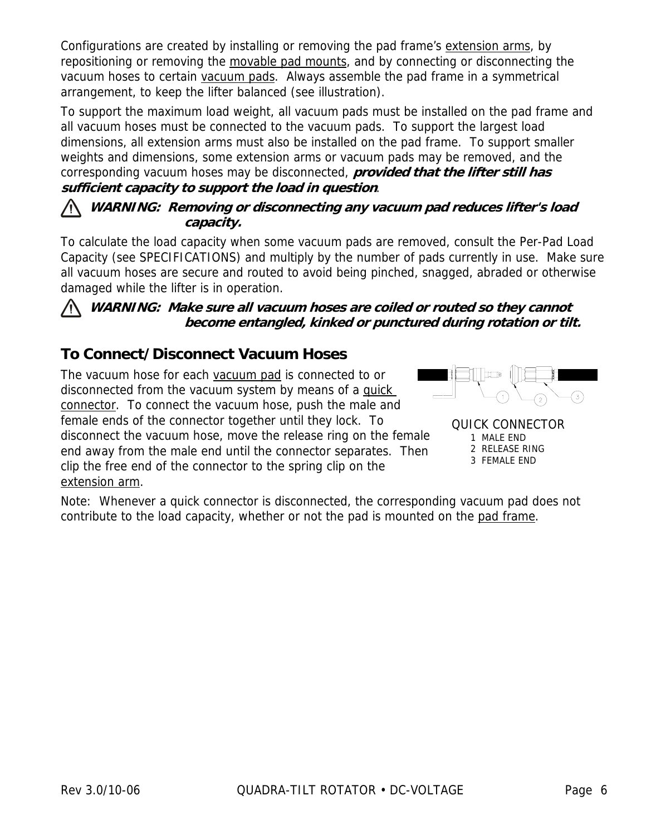Configurations are created by installing or removing the pad frame's extension arms, by repositioning or removing the movable pad mounts, and by connecting or disconnecting the vacuum hoses to certain vacuum pads. Always assemble the pad frame in a symmetrical arrangement, to keep the lifter balanced (see illustration).

To support the maximum load weight, all vacuum pads must be installed on the pad frame and all vacuum hoses must be connected to the vacuum pads. To support the largest load dimensions, all extension arms must also be installed on the pad frame. To support smaller weights and dimensions, some extension arms or vacuum pads may be removed, and the corresponding vacuum hoses may be disconnected, **provided that the lifter still has sufficient capacity to support the load in question**.

#### **WARNING: Removing or disconnecting any vacuum pad reduces lifter's load capacity.**

To calculate the load capacity when some vacuum pads are removed, consult the Per-Pad Load Capacity (see SPECIFICATIONS) and multiply by the number of pads currently in use. Make sure all vacuum hoses are secure and routed to avoid being pinched, snagged, abraded or otherwise damaged while the lifter is in operation.

#### **WARNING: Make sure all vacuum hoses are coiled or routed so they cannot become entangled, kinked or punctured during rotation or tilt.**

### **To Connect/Disconnect Vacuum Hoses**

The vacuum hose for each vacuum pad is connected to or disconnected from the vacuum system by means of a quick connector. To connect the vacuum hose, push the male and female ends of the connector together until they lock. To disconnect the vacuum hose, move the release ring on the female end away from the male end until the connector separates. Then clip the free end of the connector to the spring clip on the extension arm.



QUICK CONNECTOR 1 MALE END 2 RELEASE RING 3 FEMALE END

Note: Whenever a quick connector is disconnected, the corresponding vacuum pad does not contribute to the load capacity, whether or not the pad is mounted on the pad frame.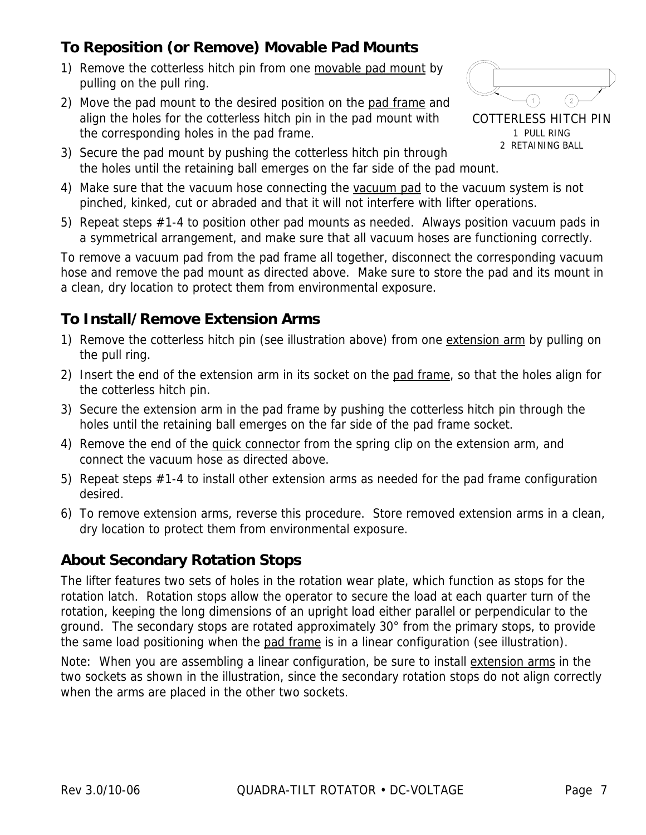## **To Reposition (or Remove) Movable Pad Mounts**

- 1) Remove the cotterless hitch pin from one movable pad mount by pulling on the pull ring.
- 2) Move the pad mount to the desired position on the pad frame and align the holes for the cotterless hitch pin in the pad mount with the corresponding holes in the pad frame.



- 3) Secure the pad mount by pushing the cotterless hitch pin through the holes until the retaining ball emerges on the far side of the pad mount.
- 4) Make sure that the vacuum hose connecting the vacuum pad to the vacuum system is not pinched, kinked, cut or abraded and that it will not interfere with lifter operations.
- 5) Repeat steps #1-4 to position other pad mounts as needed. Always position vacuum pads in a symmetrical arrangement, and make sure that all vacuum hoses are functioning correctly.

To remove a vacuum pad from the pad frame all together, disconnect the corresponding vacuum hose and remove the pad mount as directed above. Make sure to store the pad and its mount in a clean, dry location to protect them from environmental exposure.

### **To Install/Remove Extension Arms**

- 1) Remove the cotterless hitch pin (see illustration above) from one extension arm by pulling on the pull ring.
- 2) Insert the end of the extension arm in its socket on the pad frame, so that the holes align for the cotterless hitch pin.
- 3) Secure the extension arm in the pad frame by pushing the cotterless hitch pin through the holes until the retaining ball emerges on the far side of the pad frame socket.
- 4) Remove the end of the quick connector from the spring clip on the extension arm, and connect the vacuum hose as directed above.
- 5) Repeat steps #1-4 to install other extension arms as needed for the pad frame configuration desired.
- 6) To remove extension arms, reverse this procedure. Store removed extension arms in a clean, dry location to protect them from environmental exposure.

### **About Secondary Rotation Stops**

The lifter features two sets of holes in the rotation wear plate, which function as stops for the rotation latch. Rotation stops allow the operator to secure the load at each quarter turn of the rotation, keeping the long dimensions of an upright load either parallel or perpendicular to the ground. The secondary stops are rotated approximately 30° from the primary stops, to provide the same load positioning when the pad frame is in a linear configuration (see illustration).

Note: When you are assembling a linear configuration, be sure to install extension arms in the two sockets as shown in the illustration, since the secondary rotation stops do not align correctly when the arms are placed in the other two sockets.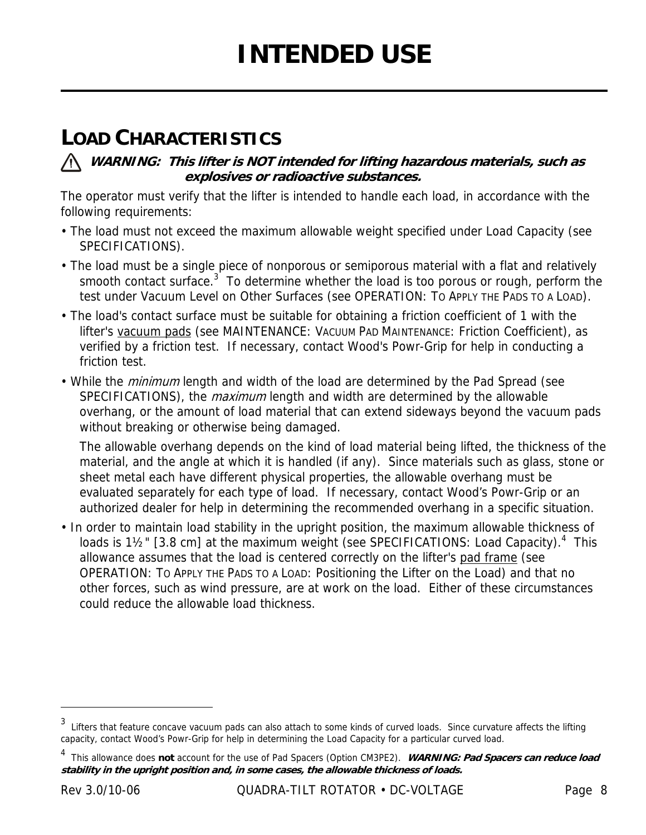# **LOAD CHARACTERISTICS**

#### **WARNING: This lifter is NOT intended for lifting hazardous materials, such as explosives or radioactive substances.**

The operator must verify that the lifter is intended to handle each load, in accordance with the following requirements:

- The load must not exceed the maximum allowable weight specified under Load Capacity (see SPECIFICATIONS).
- The load must be a single piece of nonporous or semiporous material with a flat and relatively smooth contact surface.<sup>3</sup> To determine whether the load is too porous or rough, perform the test under Vacuum Level on Other Surfaces (see OPERATION: TO APPLY THE PADS TO A LOAD).
- The load's contact surface must be suitable for obtaining a friction coefficient of 1 with the lifter's vacuum pads (see MAINTENANCE: VACUUM PAD MAINTENANCE: Friction Coefficient), as verified by a friction test. If necessary, contact Wood's Powr-Grip for help in conducting a friction test.
- While the *minimum* length and width of the load are determined by the Pad Spread (see SPECIFICATIONS), the *maximum* length and width are determined by the allowable overhang, or the amount of load material that can extend sideways beyond the vacuum pads without breaking or otherwise being damaged.

The allowable overhang depends on the kind of load material being lifted, the thickness of the material, and the angle at which it is handled (if any). Since materials such as glass, stone or sheet metal each have different physical properties, the allowable overhang must be evaluated separately for each type of load. If necessary, contact Wood's Powr-Grip or an authorized dealer for help in determining the recommended overhang in a specific situation.

• In order to maintain load stability in the upright position, the maximum allowable thickness of loads is  $1\frac{1}{2}$ " [3.8 cm] at the maximum weight (see SPECIFICATIONS: Load Capacity).<sup>4</sup> This allowance assumes that the load is centered correctly on the lifter's pad frame (see OPERATION: TO APPLY THE PADS TO A LOAD: Positioning the Lifter on the Load) and that no other forces, such as wind pressure, are at work on the load. Either of these circumstances could reduce the allowable load thickness.

<sup>&</sup>lt;sup>3</sup> Lifters that feature concave vacuum pads can also attach to some kinds of curved loads. Since curvature affects the lifting capacity, contact Wood's Powr-Grip for help in determining the Load Capacity for a particular curved load.

<sup>4</sup> This allowance does **not** account for the use of Pad Spacers (Option CM3PE2). **WARNING: Pad Spacers can reduce load stability in the upright position and, in some cases, the allowable thickness of loads.**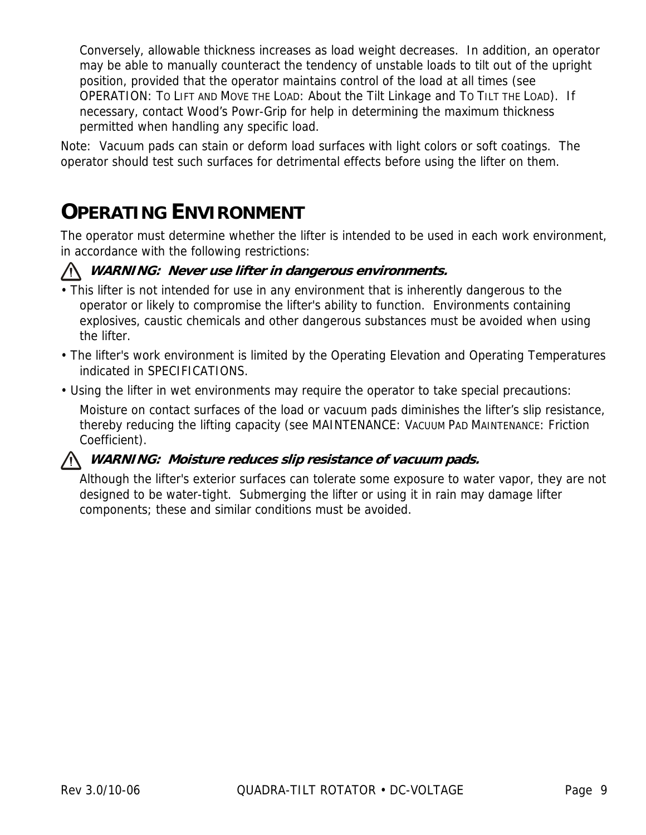Conversely, allowable thickness increases as load weight decreases. In addition, an operator may be able to manually counteract the tendency of unstable loads to tilt out of the upright position, provided that the operator maintains control of the load at all times (see OPERATION: TO LIFT AND MOVE THE LOAD: About the Tilt Linkage and TO TILT THE LOAD). If necessary, contact Wood's Powr-Grip for help in determining the maximum thickness permitted when handling any specific load.

Note: Vacuum pads can stain or deform load surfaces with light colors or soft coatings. The operator should test such surfaces for detrimental effects before using the lifter on them.

# **OPERATING ENVIRONMENT**

The operator must determine whether the lifter is intended to be used in each work environment, in accordance with the following restrictions:

#### **WARNING: Never use lifter in dangerous environments.**

- This lifter is not intended for use in any environment that is inherently dangerous to the operator or likely to compromise the lifter's ability to function. Environments containing explosives, caustic chemicals and other dangerous substances must be avoided when using the lifter.
- The lifter's work environment is limited by the Operating Elevation and Operating Temperatures indicated in SPECIFICATIONS.
- Using the lifter in wet environments may require the operator to take special precautions:

Moisture on contact surfaces of the load or vacuum pads diminishes the lifter's slip resistance, thereby reducing the lifting capacity (see MAINTENANCE: VACUUM PAD MAINTENANCE: Friction Coefficient).

#### **WARNING: Moisture reduces slip resistance of vacuum pads.**

Although the lifter's exterior surfaces can tolerate some exposure to water vapor, they are not designed to be water-tight. Submerging the lifter or using it in rain may damage lifter components; these and similar conditions must be avoided.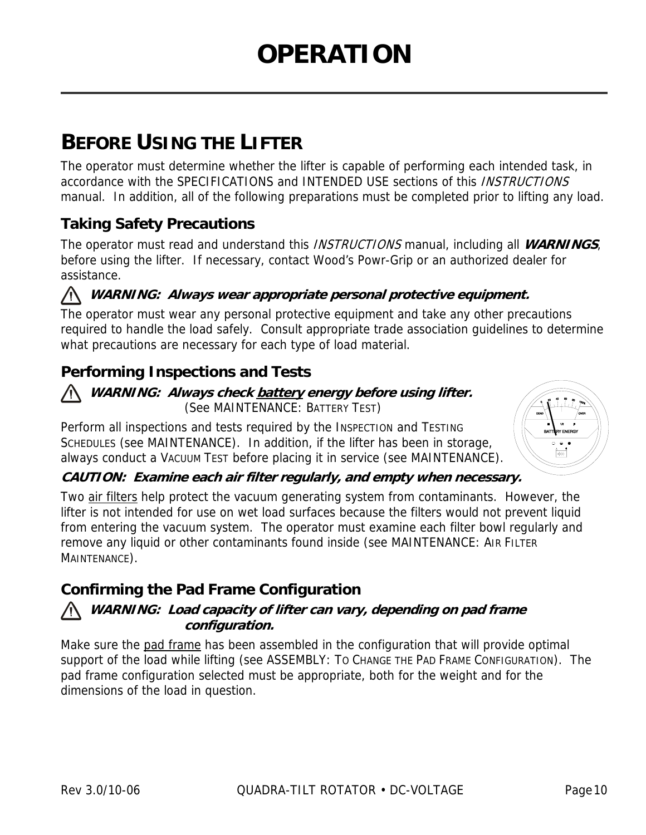# **BEFORE USING THE LIFTER**

The operator must determine whether the lifter is capable of performing each intended task, in accordance with the SPECIFICATIONS and INTENDED USE sections of this INSTRUCTIONS manual. In addition, all of the following preparations must be completed prior to lifting any load.

## **Taking Safety Precautions**

The operator must read and understand this INSTRUCTIONS manual, including all **WARNINGS**, before using the lifter. If necessary, contact Wood's Powr-Grip or an authorized dealer for assistance.

#### **WARNING: Always wear appropriate personal protective equipment.**

The operator must wear any personal protective equipment and take any other precautions required to handle the load safely. Consult appropriate trade association guidelines to determine what precautions are necessary for each type of load material.

### **Performing Inspections and Tests**

#### **WARNING: Always check battery energy before using lifter.**  (See MAINTENANCE: BATTERY TEST)

Perform all inspections and tests required by the INSPECTION and TESTING SCHEDULES (see MAINTENANCE). In addition, if the lifter has been in storage, always conduct a VACUUM TEST before placing it in service (see MAINTENANCE).



#### **CAUTION: Examine each air filter regularly, and empty when necessary.**

Two air filters help protect the vacuum generating system from contaminants. However, the lifter is not intended for use on wet load surfaces because the filters would not prevent liquid from entering the vacuum system. The operator must examine each filter bowl regularly and remove any liquid or other contaminants found inside (see MAINTENANCE: AIR FILTER MAINTENANCE).

### **Confirming the Pad Frame Configuration**

#### **WARNING: Load capacity of lifter can vary, depending on pad frame configuration.**

Make sure the pad frame has been assembled in the configuration that will provide optimal support of the load while lifting (see ASSEMBLY: TO CHANGE THE PAD FRAME CONFIGURATION). The pad frame configuration selected must be appropriate, both for the weight and for the dimensions of the load in question.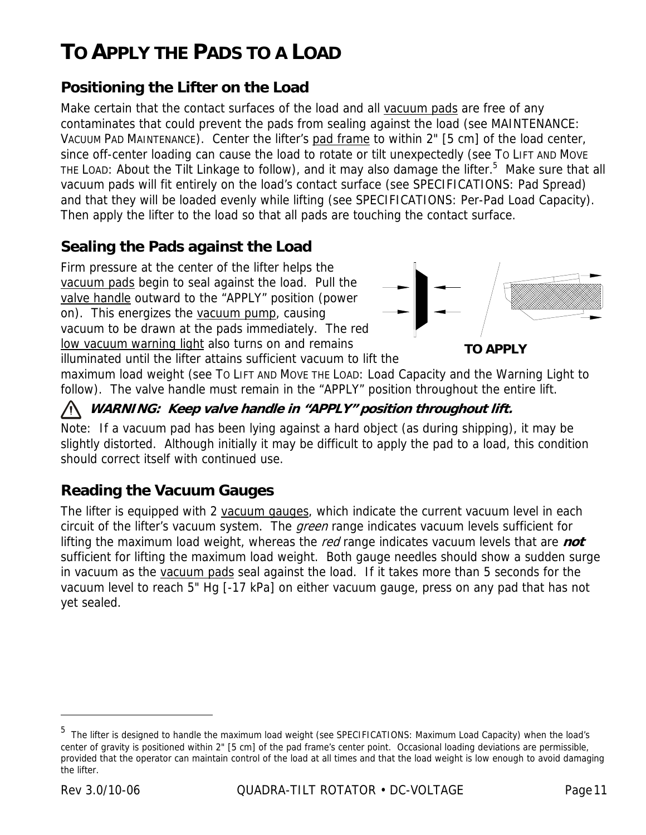# **TO APPLY THE PADS TO A LOAD**

### **Positioning the Lifter on the Load**

Make certain that the contact surfaces of the load and all vacuum pads are free of any contaminates that could prevent the pads from sealing against the load (see MAINTENANCE: VACUUM PAD MAINTENANCE). Center the lifter's pad frame to within 2" [5 cm] of the load center, since off-center loading can cause the load to rotate or tilt unexpectedly (see TO LIFT AND MOVE THE LOAD: About the Tilt Linkage to follow), and it may also damage the lifter.<sup>5</sup> Make sure that all vacuum pads will fit entirely on the load's contact surface (see SPECIFICATIONS: Pad Spread) and that they will be loaded evenly while lifting (see SPECIFICATIONS: Per-Pad Load Capacity). Then apply the lifter to the load so that all pads are touching the contact surface.

### **Sealing the Pads against the Load**

Firm pressure at the center of the lifter helps the vacuum pads begin to seal against the load. Pull the valve handle outward to the "APPLY" position (power on). This energizes the vacuum pump, causing vacuum to be drawn at the pads immediately. The red low vacuum warning light also turns on and remains illuminated until the lifter attains sufficient vacuum to lift the



**TO APPLY**

maximum load weight (see TO LIFT AND MOVE THE LOAD: Load Capacity and the Warning Light to follow). The valve handle must remain in the "APPLY" position throughout the entire lift.

#### **WARNING: Keep valve handle in "APPLY" position throughout lift.**

Note: If a vacuum pad has been lying against a hard object (as during shipping), it may be slightly distorted. Although initially it may be difficult to apply the pad to a load, this condition should correct itself with continued use.

### **Reading the Vacuum Gauges**

The lifter is equipped with 2 vacuum gauges, which indicate the current vacuum level in each circuit of the lifter's vacuum system. The *green* range indicates vacuum levels sufficient for lifting the maximum load weight, whereas the red range indicates vacuum levels that are **not** sufficient for lifting the maximum load weight. Both gauge needles should show a sudden surge in vacuum as the vacuum pads seal against the load. If it takes more than 5 seconds for the vacuum level to reach 5" Hg [-17 kPa] on either vacuum gauge, press on any pad that has not yet sealed.

-

<sup>&</sup>lt;sup>5</sup> The lifter is designed to handle the maximum load weight (see SPECIFICATIONS: Maximum Load Capacity) when the load's center of gravity is positioned within 2" [5 cm] of the pad frame's center point. Occasional loading deviations are permissible, provided that the operator can maintain control of the load at all times and that the load weight is low enough to avoid damaging the lifter.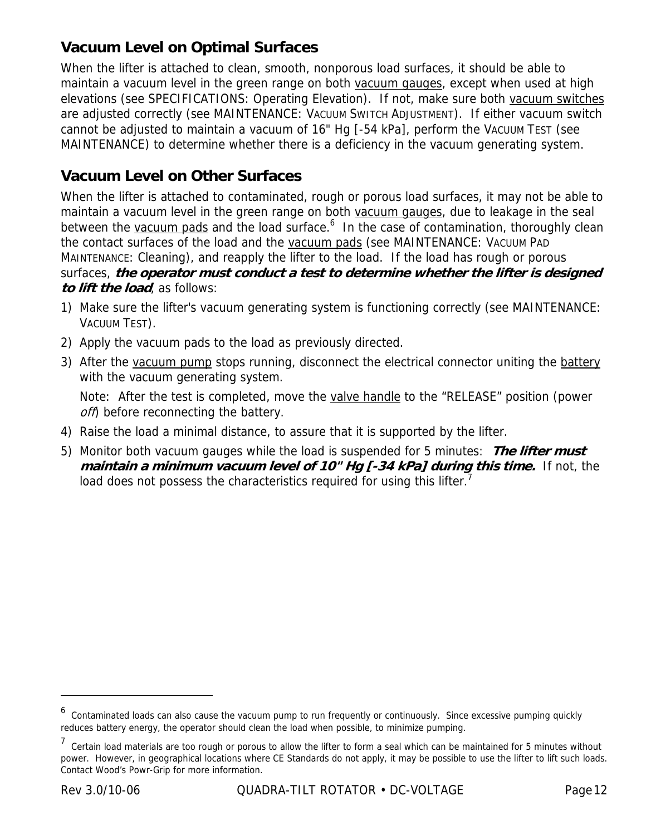### **Vacuum Level on Optimal Surfaces**

When the lifter is attached to clean, smooth, nonporous load surfaces, it should be able to maintain a vacuum level in the green range on both vacuum gauges, except when used at high elevations (see SPECIFICATIONS: Operating Elevation). If not, make sure both vacuum switches are adjusted correctly (see MAINTENANCE: VACUUM SWITCH ADJUSTMENT). If either vacuum switch cannot be adjusted to maintain a vacuum of 16" Hg [-54 kPa], perform the VACUUM TEST (see MAINTENANCE) to determine whether there is a deficiency in the vacuum generating system.

#### **Vacuum Level on Other Surfaces**

When the lifter is attached to contaminated, rough or porous load surfaces, it may not be able to maintain a vacuum level in the green range on both vacuum gauges, due to leakage in the seal between the vacuum pads and the load surface.<sup>6</sup> In the case of contamination, thoroughly clean the contact surfaces of the load and the vacuum pads (see MAINTENANCE: VACUUM PAD MAINTENANCE: Cleaning), and reapply the lifter to the load. If the load has rough or porous surfaces, **the operator must conduct a test to determine whether the lifter is designed to lift the load**, as follows:

- 1) Make sure the lifter's vacuum generating system is functioning correctly (see MAINTENANCE: VACUUM TEST).
- 2) Apply the vacuum pads to the load as previously directed.
- 3) After the vacuum pump stops running, disconnect the electrical connector uniting the battery with the vacuum generating system.

 Note: After the test is completed, move the valve handle to the "RELEASE" position (power off) before reconnecting the battery.

- 4) Raise the load a minimal distance, to assure that it is supported by the lifter.
- 5) Monitor both vacuum gauges while the load is suspended for 5 minutes: **The lifter must maintain a minimum vacuum level of 10" Hg [-34 kPa] during this time.** If not, the load does not possess the characteristics required for using this lifter.<sup>7</sup>

<sup>&</sup>lt;sup>6</sup> Contaminated loads can also cause the vacuum pump to run frequently or continuously. Since excessive pumping quickly reduces battery energy, the operator should clean the load when possible, to minimize pumping.

<sup>&</sup>lt;sup>7</sup> Certain load materials are too rough or porous to allow the lifter to form a seal which can be maintained for 5 minutes without power. However, in geographical locations where CE Standards do not apply, it may be possible to use the lifter to lift such loads. Contact Wood's Powr-Grip for more information.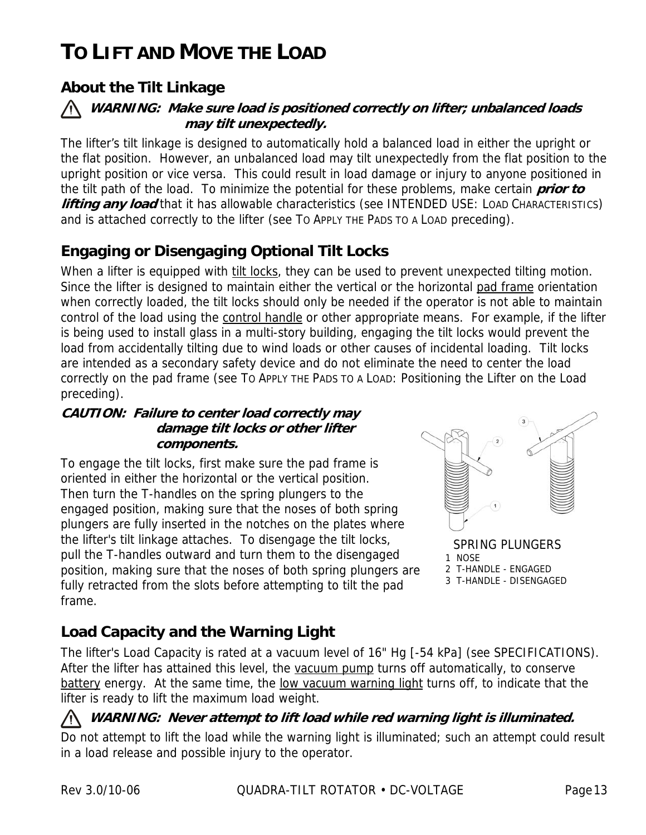# **TO LIFT AND MOVE THE LOAD**

### **About the Tilt Linkage**



The lifter's tilt linkage is designed to automatically hold a balanced load in either the upright or the flat position. However, an unbalanced load may tilt unexpectedly from the flat position to the upright position or vice versa. This could result in load damage or injury to anyone positioned in the tilt path of the load. To minimize the potential for these problems, make certain **prior to lifting any load** that it has allowable characteristics (see INTENDED USE: LOAD CHARACTERISTICS) and is attached correctly to the lifter (see TO APPLY THE PADS TO A LOAD preceding).

### **Engaging or Disengaging Optional Tilt Locks**

When a lifter is equipped with tilt locks, they can be used to prevent unexpected tilting motion. Since the lifter is designed to maintain either the vertical or the horizontal pad frame orientation when correctly loaded, the tilt locks should only be needed if the operator is not able to maintain control of the load using the control handle or other appropriate means. For example, if the lifter is being used to install glass in a multi-story building, engaging the tilt locks would prevent the load from accidentally tilting due to wind loads or other causes of incidental loading. Tilt locks are intended as a secondary safety device and do not eliminate the need to center the load correctly on the pad frame (see TO APPLY THE PADS TO A LOAD: Positioning the Lifter on the Load preceding).

#### **CAUTION: Failure to center load correctly may damage tilt locks or other lifter components.**

To engage the tilt locks, first make sure the pad frame is oriented in either the horizontal or the vertical position. Then turn the T-handles on the spring plungers to the engaged position, making sure that the noses of both spring plungers are fully inserted in the notches on the plates where the lifter's tilt linkage attaches. To disengage the tilt locks, pull the T-handles outward and turn them to the disengaged position, making sure that the noses of both spring plungers are fully retracted from the slots before attempting to tilt the pad frame.



SPRING PLUNGERS 1 NOSE 2 T-HANDLE - ENGAGED 3 T-HANDLE - DISENGAGED

### **Load Capacity and the Warning Light**

The lifter's Load Capacity is rated at a vacuum level of 16" Hg [-54 kPa] (see SPECIFICATIONS). After the lifter has attained this level, the vacuum pump turns off automatically, to conserve battery energy. At the same time, the low vacuum warning light turns off, to indicate that the lifter is ready to lift the maximum load weight.

#### **WARNING: Never attempt to lift load while red warning light is illuminated.**

Do not attempt to lift the load while the warning light is illuminated; such an attempt could result in a load release and possible injury to the operator.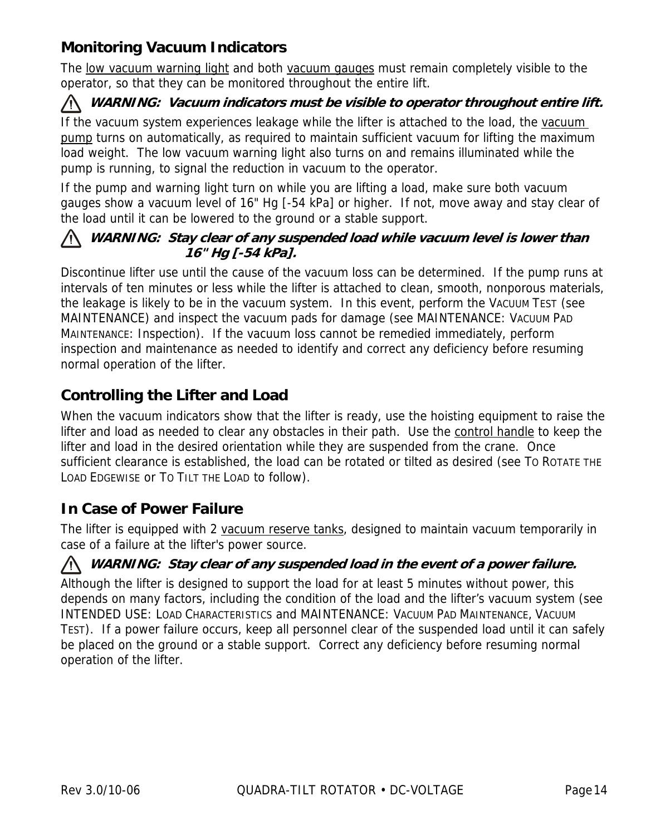### **Monitoring Vacuum Indicators**

The low vacuum warning light and both vacuum gauges must remain completely visible to the operator, so that they can be monitored throughout the entire lift.

#### **WARNING: Vacuum indicators must be visible to operator throughout entire lift.**

If the vacuum system experiences leakage while the lifter is attached to the load, the vacuum pump turns on automatically, as required to maintain sufficient vacuum for lifting the maximum load weight. The low vacuum warning light also turns on and remains illuminated while the pump is running, to signal the reduction in vacuum to the operator.

If the pump and warning light turn on while you are lifting a load, make sure both vacuum gauges show a vacuum level of 16" Hg [-54 kPa] or higher. If not, move away and stay clear of the load until it can be lowered to the ground or a stable support.

#### **WARNING: Stay clear of any suspended load while vacuum level is lower than 16" Hg [-54 kPa].**

Discontinue lifter use until the cause of the vacuum loss can be determined. If the pump runs at intervals of ten minutes or less while the lifter is attached to clean, smooth, nonporous materials, the leakage is likely to be in the vacuum system. In this event, perform the VACUUM TEST (see MAINTENANCE) and inspect the vacuum pads for damage (see MAINTENANCE: VACUUM PAD MAINTENANCE: Inspection). If the vacuum loss cannot be remedied immediately, perform inspection and maintenance as needed to identify and correct any deficiency before resuming normal operation of the lifter.

### **Controlling the Lifter and Load**

When the vacuum indicators show that the lifter is ready, use the hoisting equipment to raise the lifter and load as needed to clear any obstacles in their path. Use the control handle to keep the lifter and load in the desired orientation while they are suspended from the crane. Once sufficient clearance is established, the load can be rotated or tilted as desired (see TO ROTATE THE LOAD EDGEWISE or TO TILT THE LOAD to follow).

### **In Case of Power Failure**

The lifter is equipped with 2 vacuum reserve tanks, designed to maintain vacuum temporarily in case of a failure at the lifter's power source.

#### **WARNING: Stay clear of any suspended load in the event of a power failure.**

Although the lifter is designed to support the load for at least 5 minutes without power, this depends on many factors, including the condition of the load and the lifter's vacuum system (see INTENDED USE: LOAD CHARACTERISTICS and MAINTENANCE: VACUUM PAD MAINTENANCE, VACUUM TEST). If a power failure occurs, keep all personnel clear of the suspended load until it can safely be placed on the ground or a stable support. Correct any deficiency before resuming normal operation of the lifter.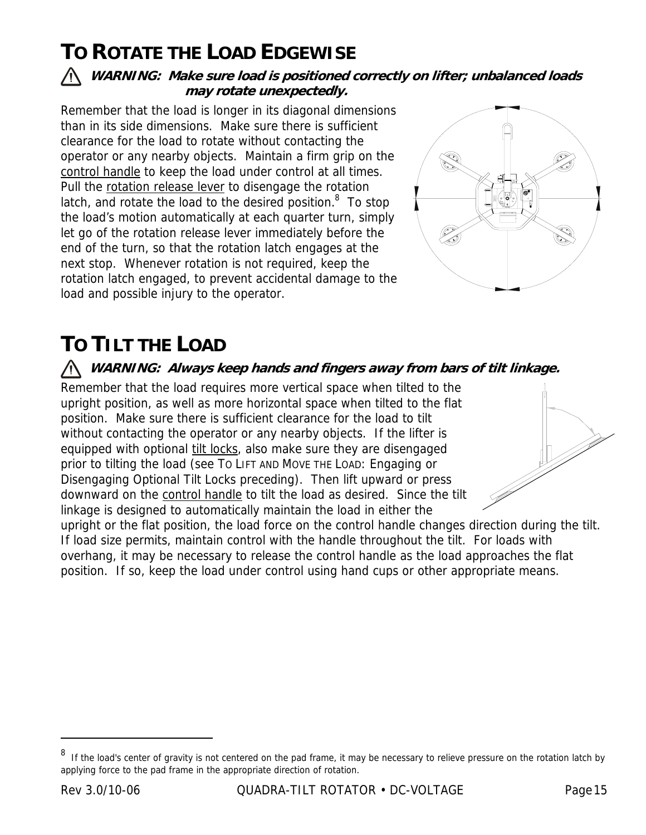# **TO ROTATE THE LOAD EDGEWISE**

#### **WARNING: Make sure load is positioned correctly on lifter; unbalanced loads may rotate unexpectedly.**

Remember that the load is longer in its diagonal dimensions than in its side dimensions. Make sure there is sufficient clearance for the load to rotate without contacting the operator or any nearby objects. Maintain a firm grip on the control handle to keep the load under control at all times. Pull the rotation release lever to disengage the rotation latch, and rotate the load to the desired position. $8$  To stop the load's motion automatically at each quarter turn, simply let go of the rotation release lever immediately before the end of the turn, so that the rotation latch engages at the next stop. Whenever rotation is not required, keep the rotation latch engaged, to prevent accidental damage to the load and possible injury to the operator.



# **TO TILT THE LOAD**

#### **WARNING: Always keep hands and fingers away from bars of tilt linkage.**

Remember that the load requires more vertical space when tilted to the upright position, as well as more horizontal space when tilted to the flat position. Make sure there is sufficient clearance for the load to tilt without contacting the operator or any nearby objects. If the lifter is equipped with optional tilt locks, also make sure they are disengaged prior to tilting the load (see TO LIFT AND MOVE THE LOAD: Engaging or Disengaging Optional Tilt Locks preceding). Then lift upward or press downward on the control handle to tilt the load as desired. Since the tilt linkage is designed to automatically maintain the load in either the



upright or the flat position, the load force on the control handle changes direction during the tilt. If load size permits, maintain control with the handle throughout the tilt. For loads with overhang, it may be necessary to release the control handle as the load approaches the flat position. If so, keep the load under control using hand cups or other appropriate means.

<sup>8</sup> If the load's center of gravity is not centered on the pad frame, it may be necessary to relieve pressure on the rotation latch by applying force to the pad frame in the appropriate direction of rotation.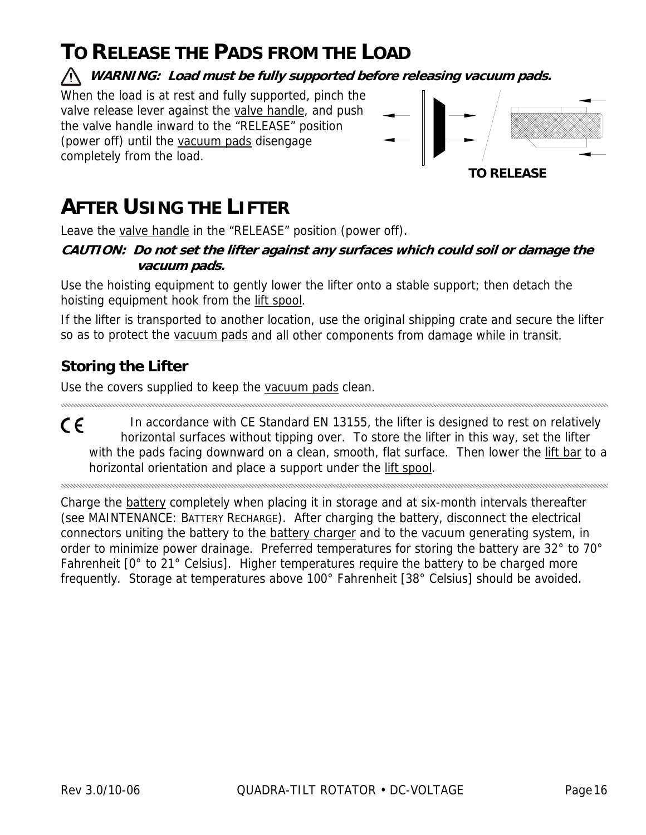# **TO RELEASE THE PADS FROM THE LOAD**

**WARNING: Load must be fully supported before releasing vacuum pads.** 

When the load is at rest and fully supported, pinch the valve release lever against the valve handle, and push the valve handle inward to the "RELEASE" position (power off) until the vacuum pads disengage completely from the load.



# **AFTER USING THE LIFTER**

Leave the valve handle in the "RELEASE" position (power off).

**CAUTION: Do not set the lifter against any surfaces which could soil or damage the vacuum pads.** 

Use the hoisting equipment to gently lower the lifter onto a stable support; then detach the hoisting equipment hook from the lift spool.

If the lifter is transported to another location, use the original shipping crate and secure the lifter so as to protect the vacuum pads and all other components from damage while in transit.

## **Storing the Lifter**

Use the covers supplied to keep the vacuum pads clean.

In accordance with CE Standard EN 13155, the lifter is designed to rest on relatively CE horizontal surfaces without tipping over. To store the lifter in this way, set the lifter with the pads facing downward on a clean, smooth, flat surface. Then lower the lift bar to a horizontal orientation and place a support under the lift spool.

Charge the battery completely when placing it in storage and at six-month intervals thereafter (see MAINTENANCE: BATTERY RECHARGE). After charging the battery, disconnect the electrical connectors uniting the battery to the battery charger and to the vacuum generating system, in order to minimize power drainage. Preferred temperatures for storing the battery are 32° to 70° Fahrenheit [0° to 21° Celsius]. Higher temperatures require the battery to be charged more frequently. Storage at temperatures above 100° Fahrenheit [38° Celsius] should be avoided.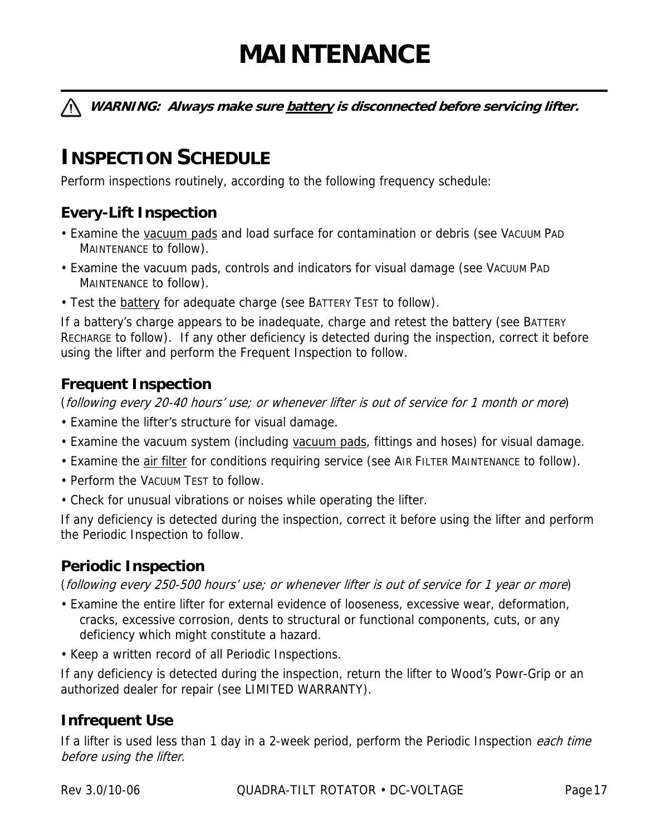# **MAINTENANCE**

**WARNING: Always make sure battery is disconnected before servicing lifter.** 

# **INSPECTION SCHEDULE**

Perform inspections routinely, according to the following frequency schedule:

### **Every-Lift Inspection**

- Examine the vacuum pads and load surface for contamination or debris (see VACUUM PAD MAINTENANCE to follow).
- Examine the vacuum pads, controls and indicators for visual damage (see VACUUM PAD MAINTENANCE to follow).
- Test the **battery** for adequate charge (see BATTERY TEST to follow).

If a battery's charge appears to be inadequate, charge and retest the battery (see BATTERY RECHARGE to follow). If any other deficiency is detected during the inspection, correct it before using the lifter and perform the Frequent Inspection to follow.

### **Frequent Inspection**

(following every 20-40 hours' use; or whenever lifter is out of service for 1 month or more)

- Examine the lifter's structure for visual damage.
- Examine the vacuum system (including vacuum pads, fittings and hoses) for visual damage.
- Examine the *air filter* for conditions requiring service (see AIR FILTER MAINTENANCE to follow).
- Perform the VACUUM TEST to follow.
- Check for unusual vibrations or noises while operating the lifter.

If any deficiency is detected during the inspection, correct it before using the lifter and perform the Periodic Inspection to follow.

#### **Periodic Inspection**

(following every 250-500 hours' use; or whenever lifter is out of service for 1 year or more)

- Examine the entire lifter for external evidence of looseness, excessive wear, deformation, cracks, excessive corrosion, dents to structural or functional components, cuts, or any deficiency which might constitute a hazard.
- Keep a written record of all Periodic Inspections.

If any deficiency is detected during the inspection, return the lifter to Wood's Powr-Grip or an authorized dealer for repair (see LIMITED WARRANTY).

### **Infrequent Use**

If a lifter is used less than 1 day in a 2-week period, perform the Periodic Inspection each time before using the lifter.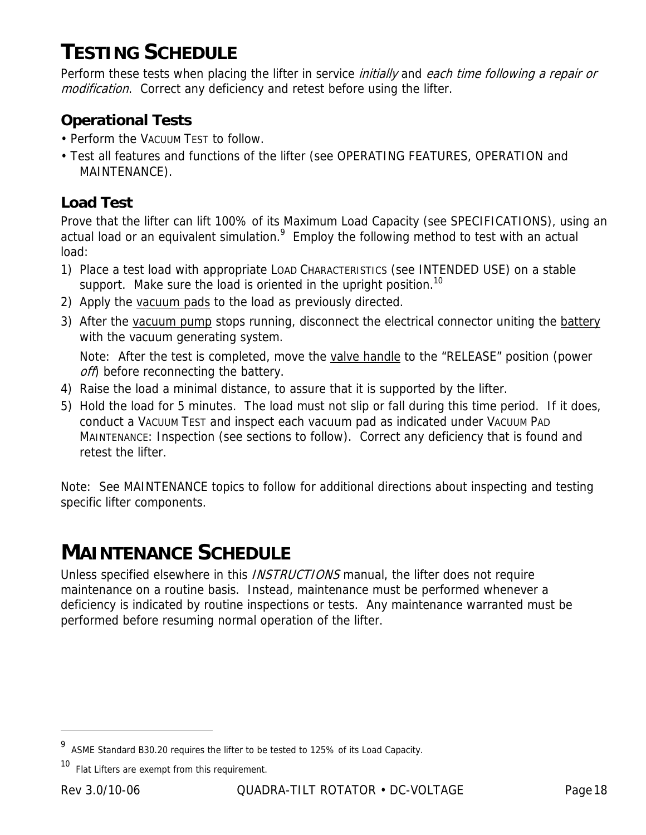# **TESTING SCHEDULE**

Perform these tests when placing the lifter in service *initially* and each time following a repair or modification. Correct any deficiency and retest before using the lifter.

### **Operational Tests**

- Perform the VACUUM TEST to follow.
- Test all features and functions of the lifter (see OPERATING FEATURES, OPERATION and MAINTENANCE).

## **Load Test**

Prove that the lifter can lift 100% of its Maximum Load Capacity (see SPECIFICATIONS), using an actual load or an equivalent simulation. $9$  Employ the following method to test with an actual load:

- 1) Place a test load with appropriate LOAD CHARACTERISTICS (see INTENDED USE) on a stable support. Make sure the load is oriented in the upright position.<sup>10</sup>
- 2) Apply the vacuum pads to the load as previously directed.
- 3) After the vacuum pump stops running, disconnect the electrical connector uniting the battery with the vacuum generating system.

 Note: After the test is completed, move the valve handle to the "RELEASE" position (power off) before reconnecting the battery.

- 4) Raise the load a minimal distance, to assure that it is supported by the lifter.
- 5) Hold the load for 5 minutes. The load must not slip or fall during this time period. If it does, conduct a VACUUM TEST and inspect each vacuum pad as indicated under VACUUM PAD MAINTENANCE: Inspection (see sections to follow). Correct any deficiency that is found and retest the lifter.

Note: See MAINTENANCE topics to follow for additional directions about inspecting and testing specific lifter components.

# **MAINTENANCE SCHEDULE**

Unless specified elsewhere in this *INSTRUCTIONS* manual, the lifter does not require maintenance on a routine basis. Instead, maintenance must be performed whenever a deficiency is indicated by routine inspections or tests. Any maintenance warranted must be performed before resuming normal operation of the lifter.

<sup>9</sup> ASME Standard B30.20 requires the lifter to be tested to 125% of its Load Capacity.

<sup>&</sup>lt;sup>10</sup> Flat Lifters are exempt from this requirement.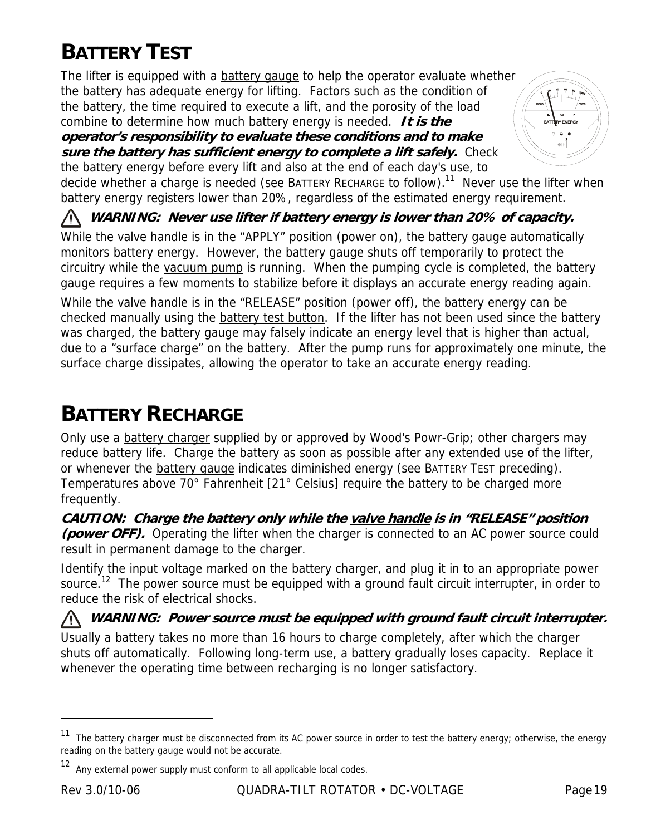# **BATTERY TEST**

The lifter is equipped with a **battery gauge to help the operator evaluate whether** the battery has adequate energy for lifting. Factors such as the condition of the battery, the time required to execute a lift, and the porosity of the load combine to determine how much battery energy is needed. **It is the** 

**operator's responsibility to evaluate these conditions and to make sure the battery has sufficient energy to complete a lift safely.** Check the battery energy before every lift and also at the end of each day's use, to



decide whether a charge is needed (see BATTERY RECHARGE to follow).<sup>11</sup> Never use the lifter when battery energy registers lower than 20%, regardless of the estimated energy requirement.

**WARNING: Never use lifter if battery energy is lower than 20% of capacity.** 

While the valve handle is in the "APPLY" position (power on), the battery gauge automatically monitors battery energy. However, the battery gauge shuts off temporarily to protect the circuitry while the vacuum pump is running. When the pumping cycle is completed, the battery gauge requires a few moments to stabilize before it displays an accurate energy reading again.

While the valve handle is in the "RELEASE" position (power off), the battery energy can be checked manually using the battery test button. If the lifter has not been used since the battery was charged, the battery gauge may falsely indicate an energy level that is higher than actual, due to a "surface charge" on the battery. After the pump runs for approximately one minute, the surface charge dissipates, allowing the operator to take an accurate energy reading.

# **BATTERY RECHARGE**

Only use a battery charger supplied by or approved by Wood's Powr-Grip; other chargers may reduce battery life. Charge the battery as soon as possible after any extended use of the lifter, or whenever the **battery gauge** indicates diminished energy (see BATTERY TEST preceding). Temperatures above 70° Fahrenheit [21° Celsius] require the battery to be charged more frequently.

**CAUTION: Charge the battery only while the valve handle is in "RELEASE" position (power OFF).** Operating the lifter when the charger is connected to an AC power source could result in permanent damage to the charger.

Identify the input voltage marked on the battery charger, and plug it in to an appropriate power source.<sup>12</sup> The power source must be equipped with a ground fault circuit interrupter, in order to reduce the risk of electrical shocks.

**WARNING: Power source must be equipped with ground fault circuit interrupter.**  Usually a battery takes no more than 16 hours to charge completely, after which the charger shuts off automatically. Following long-term use, a battery gradually loses capacity. Replace it whenever the operating time between recharging is no longer satisfactory.

<sup>&</sup>lt;sup>11</sup> The battery charger must be disconnected from its AC power source in order to test the battery energy; otherwise, the energy reading on the battery gauge would not be accurate.

<sup>12</sup> Any external power supply must conform to all applicable local codes.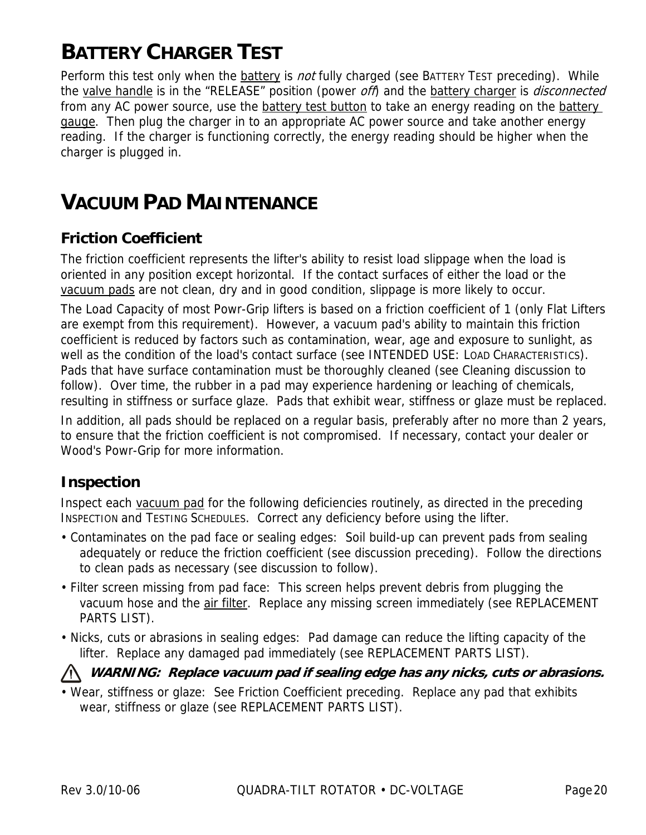# **BATTERY CHARGER TEST**

Perform this test only when the battery is *not* fully charged (see BATTERY TEST preceding). While the valve handle is in the "RELEASE" position (power off) and the battery charger is *disconnected* from any AC power source, use the battery test button to take an energy reading on the battery gauge. Then plug the charger in to an appropriate AC power source and take another energy reading. If the charger is functioning correctly, the energy reading should be higher when the charger is plugged in.

# **VACUUM PAD MAINTENANCE**

### **Friction Coefficient**

The friction coefficient represents the lifter's ability to resist load slippage when the load is oriented in any position except horizontal. If the contact surfaces of either the load or the vacuum pads are not clean, dry and in good condition, slippage is more likely to occur.

The Load Capacity of most Powr-Grip lifters is based on a friction coefficient of 1 (only Flat Lifters are exempt from this requirement). However, a vacuum pad's ability to maintain this friction coefficient is reduced by factors such as contamination, wear, age and exposure to sunlight, as well as the condition of the load's contact surface (see INTENDED USE: LOAD CHARACTERISTICS). Pads that have surface contamination must be thoroughly cleaned (see Cleaning discussion to follow). Over time, the rubber in a pad may experience hardening or leaching of chemicals, resulting in stiffness or surface glaze. Pads that exhibit wear, stiffness or glaze must be replaced.

In addition, all pads should be replaced on a regular basis, preferably after no more than 2 years, to ensure that the friction coefficient is not compromised. If necessary, contact your dealer or Wood's Powr-Grip for more information.

#### **Inspection**

Inspect each vacuum pad for the following deficiencies routinely, as directed in the preceding INSPECTION and TESTING SCHEDULES. Correct any deficiency before using the lifter.

- Contaminates on the pad face or sealing edges: Soil build-up can prevent pads from sealing adequately or reduce the friction coefficient (see discussion preceding). Follow the directions to clean pads as necessary (see discussion to follow).
- Filter screen missing from pad face: This screen helps prevent debris from plugging the vacuum hose and the air filter. Replace any missing screen immediately (see REPLACEMENT PARTS LIST).
- Nicks, cuts or abrasions in sealing edges: Pad damage can reduce the lifting capacity of the lifter. Replace any damaged pad immediately (see REPLACEMENT PARTS LIST).

#### **WARNING: Replace vacuum pad if sealing edge has any nicks, cuts or abrasions.**

• Wear, stiffness or glaze: See Friction Coefficient preceding. Replace any pad that exhibits wear, stiffness or glaze (see REPLACEMENT PARTS LIST).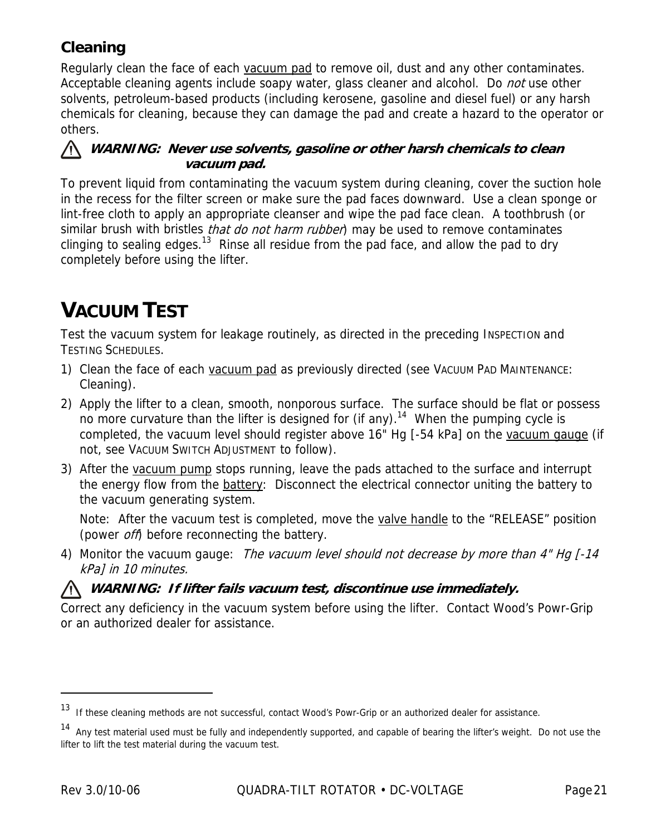## **Cleaning**

Regularly clean the face of each vacuum pad to remove oil, dust and any other contaminates. Acceptable cleaning agents include soapy water, glass cleaner and alcohol. Do not use other solvents, petroleum-based products (including kerosene, gasoline and diesel fuel) or any harsh chemicals for cleaning, because they can damage the pad and create a hazard to the operator or others.

#### **WARNING: Never use solvents, gasoline or other harsh chemicals to clean vacuum pad.**

To prevent liquid from contaminating the vacuum system during cleaning, cover the suction hole in the recess for the filter screen or make sure the pad faces downward. Use a clean sponge or lint-free cloth to apply an appropriate cleanser and wipe the pad face clean. A toothbrush (or similar brush with bristles *that do not harm rubber*) may be used to remove contaminates clinging to sealing edges.<sup>13</sup> Rinse all residue from the pad face, and allow the pad to dry completely before using the lifter.

# **VACUUM TEST**

Test the vacuum system for leakage routinely, as directed in the preceding INSPECTION and TESTING SCHEDULES.

- 1) Clean the face of each vacuum pad as previously directed (see VACUUM PAD MAINTENANCE: Cleaning).
- 2) Apply the lifter to a clean, smooth, nonporous surface. The surface should be flat or possess no more curvature than the lifter is designed for (if any).<sup>14</sup> When the pumping cycle is completed, the vacuum level should register above 16" Hg [-54 kPa] on the vacuum gauge (if not, see VACUUM SWITCH ADJUSTMENT to follow).
- 3) After the vacuum pump stops running, leave the pads attached to the surface and interrupt the energy flow from the battery: Disconnect the electrical connector uniting the battery to the vacuum generating system.

Note: After the vacuum test is completed, move the valve handle to the "RELEASE" position (power *off*) before reconnecting the battery.

4) Monitor the vacuum gauge: The vacuum level should not decrease by more than 4" Hg [-14] kPa] in 10 minutes.

#### **WARNING: If lifter fails vacuum test, discontinue use immediately.**

Correct any deficiency in the vacuum system before using the lifter. Contact Wood's Powr-Grip or an authorized dealer for assistance.

-

<sup>13</sup> If these cleaning methods are not successful, contact Wood's Powr-Grip or an authorized dealer for assistance.

<sup>&</sup>lt;sup>14</sup> Any test material used must be fully and independently supported, and capable of bearing the lifter's weight. Do not use the lifter to lift the test material during the vacuum test.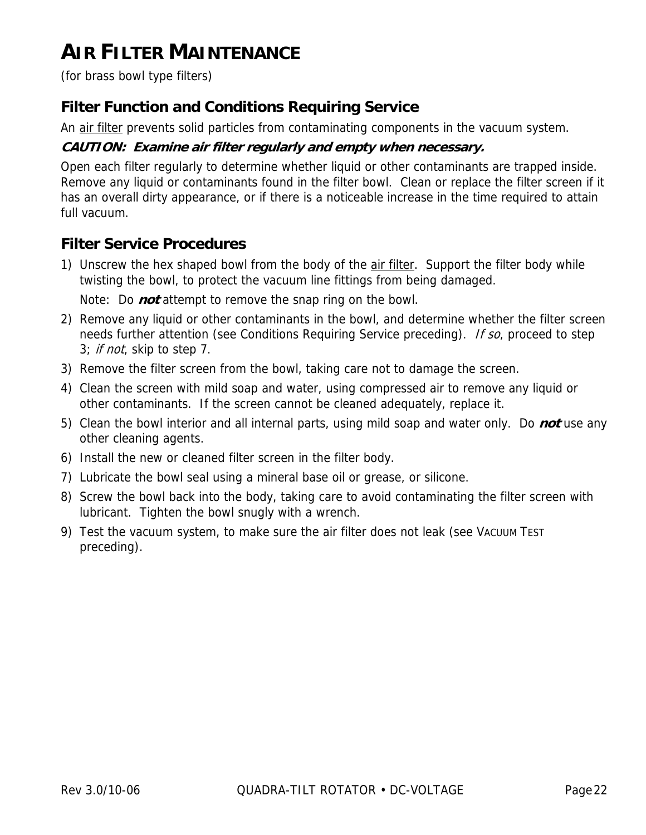# **AIR FILTER MAINTENANCE**

(for brass bowl type filters)

### **Filter Function and Conditions Requiring Service**

An air filter prevents solid particles from contaminating components in the vacuum system.

#### **CAUTION: Examine air filter regularly and empty when necessary.**

Open each filter regularly to determine whether liquid or other contaminants are trapped inside. Remove any liquid or contaminants found in the filter bowl. Clean or replace the filter screen if it has an overall dirty appearance, or if there is a noticeable increase in the time required to attain full vacuum.

### **Filter Service Procedures**

- 1) Unscrew the hex shaped bowl from the body of the air filter. Support the filter body while twisting the bowl, to protect the vacuum line fittings from being damaged. Note: Do **not** attempt to remove the snap ring on the bowl.
- 2) Remove any liquid or other contaminants in the bowl, and determine whether the filter screen needs further attention (see Conditions Requiring Service preceding). If so, proceed to step 3; *if not*, skip to step 7.
- 3) Remove the filter screen from the bowl, taking care not to damage the screen.
- 4) Clean the screen with mild soap and water, using compressed air to remove any liquid or other contaminants. If the screen cannot be cleaned adequately, replace it.
- 5) Clean the bowl interior and all internal parts, using mild soap and water only. Do **not** use any other cleaning agents.
- 6) Install the new or cleaned filter screen in the filter body.
- 7) Lubricate the bowl seal using a mineral base oil or grease, or silicone.
- 8) Screw the bowl back into the body, taking care to avoid contaminating the filter screen with lubricant. Tighten the bowl snugly with a wrench.
- 9) Test the vacuum system, to make sure the air filter does not leak (see VACUUM TEST preceding).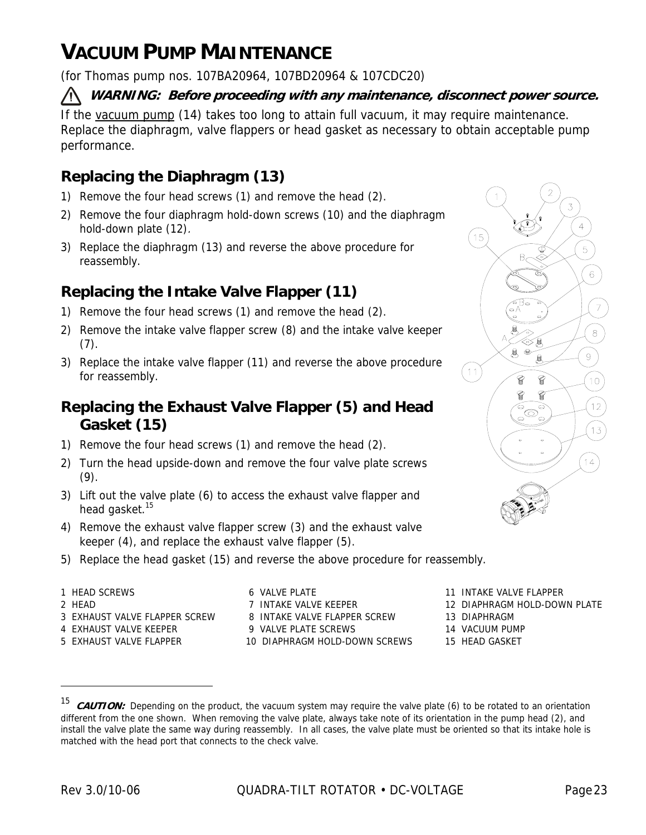# **VACUUM PUMP MAINTENANCE**

(for Thomas pump nos. 107BA20964, 107BD20964 & 107CDC20)

#### **WARNING: Before proceeding with any maintenance, disconnect power source.**

If the vacuum pump (14) takes too long to attain full vacuum, it may require maintenance. Replace the diaphragm, valve flappers or head gasket as necessary to obtain acceptable pump performance.

## **Replacing the Diaphragm (13)**

- 1) Remove the four head screws (1) and remove the head (2).
- 2) Remove the four diaphragm hold-down screws (10) and the diaphragm hold-down plate (12).
- 3) Replace the diaphragm (13) and reverse the above procedure for reassembly.

## **Replacing the Intake Valve Flapper (11)**

- 1) Remove the four head screws (1) and remove the head (2).
- 2) Remove the intake valve flapper screw (8) and the intake valve keeper (7).
- 3) Replace the intake valve flapper (11) and reverse the above procedure for reassembly.

### **Replacing the Exhaust Valve Flapper (5) and Head Gasket (15)**

- 1) Remove the four head screws (1) and remove the head (2).
- 2) Turn the head upside-down and remove the four valve plate screws  $(9).$
- 3) Lift out the valve plate (6) to access the exhaust valve flapper and head gasket.<sup>15</sup>
- 4) Remove the exhaust valve flapper screw (3) and the exhaust valve keeper (4), and replace the exhaust valve flapper (5).
- 5) Replace the head gasket (15) and reverse the above procedure for reassembly.
- 
- 

 $\overline{a}$ 

- 3 EXHAUST VALVE FLAPPER SCREW 8 INTAKE VALVE FLAPPER SCREW 13 DIAPHRAGM
- 
- 

1 HEAD SCREWS **11 INTAKE VALUE 11 INTAKE VALVE FLAPPER** 6 VALVE PLATE 4 EXHAUST VALVE KEEPER 9 VALVE PLATE SCREWS 14 VACUUM PUMP 5 EXHAUST VALVE FLAPPER 10 DIAPHRAGM HOLD-DOWN SCREWS 15 HEAD GASKET

3  $15$ 5  $\sqrt{6}$  $\overline{7}$  $\,8\,$  $\hbox{${\cal G}$}$  $(11)$  $10$ q  $12$ 6  $13$  $14$ 

- 
- 2 HEAD **12 DIAPHRAGM HOLD-DOWN PLATE** 7 INTAKE VALVE KEEPER 12 DIAPHRAGM HOLD-DOWN PLATE
	-
	-
	-

<sup>&</sup>lt;sup>15</sup> **CAUTION:** Depending on the product, the vacuum system may require the valve plate (6) to be rotated to an orientation different from the one shown. When removing the valve plate, always take note of its orientation in the pump head (2), and install the valve plate the same way during reassembly. In all cases, the valve plate must be oriented so that its intake hole is matched with the head port that connects to the check valve.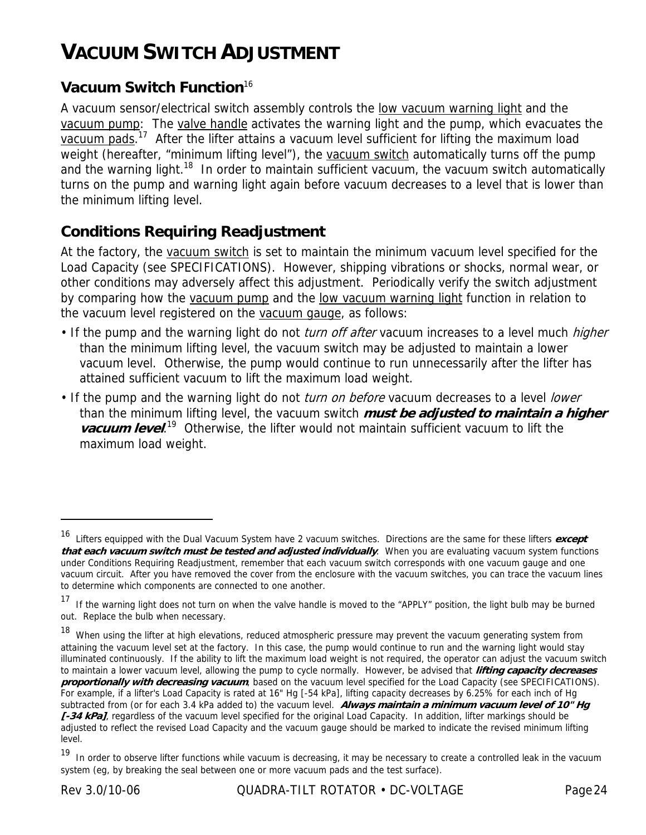# **VACUUM SWITCH ADJUSTMENT**

### **Vacuum Switch Function**<sup>16</sup>

A vacuum sensor/electrical switch assembly controls the low vacuum warning light and the vacuum pump: The valve handle activates the warning light and the pump, which evacuates the vacuum pads.<sup>17</sup> After the lifter attains a vacuum level sufficient for lifting the maximum load weight (hereafter, "minimum lifting level"), the vacuum switch automatically turns off the pump and the warning light.<sup>18</sup> In order to maintain sufficient vacuum, the vacuum switch automatically turns on the pump and warning light again before vacuum decreases to a level that is lower than the minimum lifting level.

#### **Conditions Requiring Readjustment**

At the factory, the vacuum switch is set to maintain the minimum vacuum level specified for the Load Capacity (see SPECIFICATIONS). However, shipping vibrations or shocks, normal wear, or other conditions may adversely affect this adjustment. Periodically verify the switch adjustment by comparing how the vacuum pump and the low vacuum warning light function in relation to the vacuum level registered on the vacuum gauge, as follows:

- If the pump and the warning light do not *turn off after* vacuum increases to a level much *higher* than the minimum lifting level, the vacuum switch may be adjusted to maintain a lower vacuum level. Otherwise, the pump would continue to run unnecessarily after the lifter has attained sufficient vacuum to lift the maximum load weight.
- If the pump and the warning light do not *turn on before* vacuum decreases to a level *lower* than the minimum lifting level, the vacuum switch **must be adjusted to maintain a higher vacuum level.**<sup>19</sup> Otherwise, the lifter would not maintain sufficient vacuum to lift the maximum load weight.

<sup>16</sup> Lifters equipped with the Dual Vacuum System have 2 vacuum switches. Directions are the same for these lifters **except that each vacuum switch must be tested and adjusted individually**. When you are evaluating vacuum system functions under Conditions Requiring Readjustment, remember that each vacuum switch corresponds with one vacuum gauge and one vacuum circuit. After you have removed the cover from the enclosure with the vacuum switches, you can trace the vacuum lines to determine which components are connected to one another.

<sup>&</sup>lt;sup>17</sup> If the warning light does not turn on when the valve handle is moved to the "APPLY" position, the light bulb may be burned out. Replace the bulb when necessary.

<sup>18</sup> When using the lifter at high elevations, reduced atmospheric pressure may prevent the vacuum generating system from attaining the vacuum level set at the factory. In this case, the pump would continue to run and the warning light would stay illuminated continuously. If the ability to lift the maximum load weight is not required, the operator can adjust the vacuum switch to maintain a lower vacuum level, allowing the pump to cycle normally. However, be advised that **lifting capacity decreases proportionally with decreasing vacuum**, based on the vacuum level specified for the Load Capacity (see SPECIFICATIONS). For example, if a lifter's Load Capacity is rated at 16" Hg [-54 kPa], lifting capacity decreases by 6.25% for each inch of Hg subtracted from (or for each 3.4 kPa added to) the vacuum level. **Always maintain a minimum vacuum level of 10" Hg**  [-34 kPa], regardless of the vacuum level specified for the original Load Capacity. In addition, lifter markings should be adjusted to reflect the revised Load Capacity and the vacuum gauge should be marked to indicate the revised minimum lifting level.

<sup>&</sup>lt;sup>19</sup> In order to observe lifter functions while vacuum is decreasing, it may be necessary to create a controlled leak in the vacuum system (eg, by breaking the seal between one or more vacuum pads and the test surface).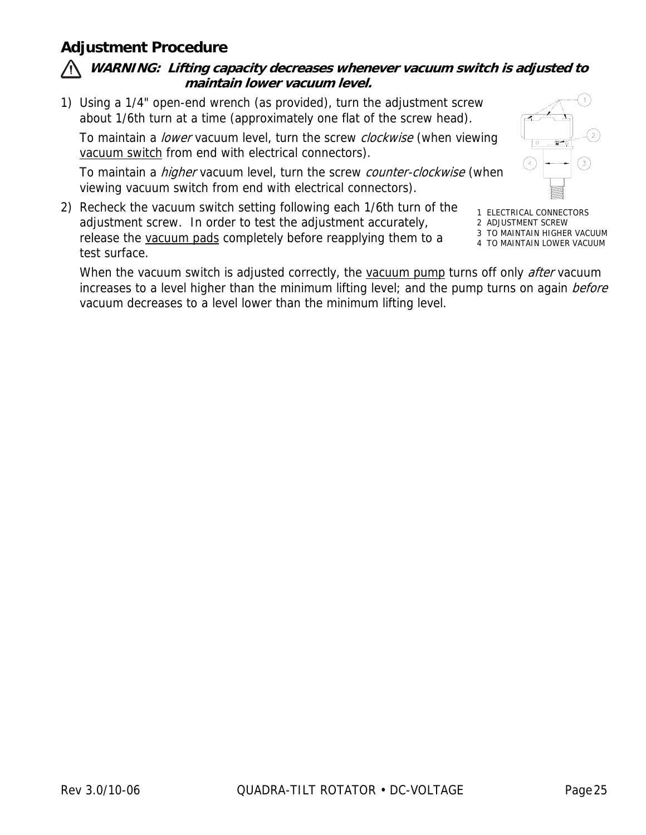### **Adjustment Procedure**

#### **WARNING: Lifting capacity decreases whenever vacuum switch is adjusted to maintain lower vacuum level.**

1) Using a 1/4" open-end wrench (as provided), turn the adjustment screw about 1/6th turn at a time (approximately one flat of the screw head).

To maintain a lower vacuum level, turn the screw clockwise (when viewing vacuum switch from end with electrical connectors).

To maintain a *higher* vacuum level, turn the screw counter-clockwise (when viewing vacuum switch from end with electrical connectors).

2) Recheck the vacuum switch setting following each 1/6th turn of the adjustment screw. In order to test the adjustment accurately, release the vacuum pads completely before reapplying them to a test surface.

1 ELECTRICAL CONNECTORS 2 ADJUSTMENT SCREW

 $(4)$ 

3 TO MAINTAIN HIGHER VACUUM

4 TO MAINTAIN LOWER VACUUM

When the vacuum switch is adjusted correctly, the vacuum pump turns off only *after* vacuum increases to a level higher than the minimum lifting level; and the pump turns on again before vacuum decreases to a level lower than the minimum lifting level.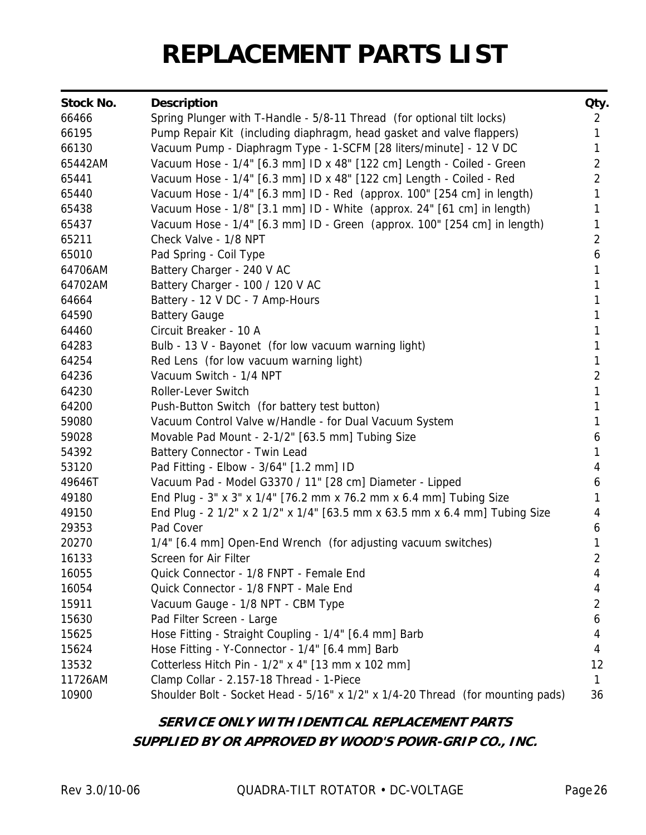# **REPLACEMENT PARTS LIST**

| <b>Stock No.</b> | <b>Description</b>                                                             | Qty.           |
|------------------|--------------------------------------------------------------------------------|----------------|
| 66466            | Spring Plunger with T-Handle - 5/8-11 Thread (for optional tilt locks)         | $\overline{2}$ |
| 66195            | Pump Repair Kit (including diaphragm, head gasket and valve flappers)          | 1              |
| 66130            | Vacuum Pump - Diaphragm Type - 1-SCFM [28 liters/minute] - 12 V DC             | 1              |
| 65442AM          | Vacuum Hose - 1/4" [6.3 mm] ID x 48" [122 cm] Length - Coiled - Green          | $\overline{2}$ |
| 65441            | Vacuum Hose - 1/4" [6.3 mm] ID x 48" [122 cm] Length - Coiled - Red            | $\overline{2}$ |
| 65440            | Vacuum Hose - 1/4" [6.3 mm] ID - Red (approx. 100" [254 cm] in length)         | 1              |
| 65438            | Vacuum Hose - 1/8" [3.1 mm] ID - White (approx. 24" [61 cm] in length)         | 1              |
| 65437            | Vacuum Hose - 1/4" [6.3 mm] ID - Green (approx. 100" [254 cm] in length)       | 1              |
| 65211            | Check Valve - 1/8 NPT                                                          | $\overline{2}$ |
| 65010            | Pad Spring - Coil Type                                                         | 6              |
| 64706AM          | Battery Charger - 240 V AC                                                     | 1              |
| 64702AM          | Battery Charger - 100 / 120 V AC                                               | 1              |
| 64664            | Battery - 12 V DC - 7 Amp-Hours                                                | 1              |
| 64590            | <b>Battery Gauge</b>                                                           | 1              |
| 64460            | Circuit Breaker - 10 A                                                         | 1              |
| 64283            | Bulb - 13 V - Bayonet (for low vacuum warning light)                           | 1              |
| 64254            | Red Lens (for low vacuum warning light)                                        | 1              |
| 64236            | Vacuum Switch - 1/4 NPT                                                        | $\overline{2}$ |
| 64230            | Roller-Lever Switch                                                            | 1              |
| 64200            | Push-Button Switch (for battery test button)                                   | 1              |
| 59080            | Vacuum Control Valve w/Handle - for Dual Vacuum System                         | 1              |
| 59028            | Movable Pad Mount - 2-1/2" [63.5 mm] Tubing Size                               | 6              |
| 54392            | Battery Connector - Twin Lead                                                  | 1              |
| 53120            | Pad Fitting - Elbow - 3/64" [1.2 mm] ID                                        | 4              |
| 49646T           | Vacuum Pad - Model G3370 / 11" [28 cm] Diameter - Lipped                       | 6              |
| 49180            | End Plug - 3" x 3" x 1/4" [76.2 mm x 76.2 mm x 6.4 mm] Tubing Size             | 1              |
| 49150            | End Plug - 2 1/2" x 2 1/2" x 1/4" [63.5 mm x 63.5 mm x 6.4 mm] Tubing Size     | 4              |
| 29353            | Pad Cover                                                                      | 6              |
| 20270            | 1/4" [6.4 mm] Open-End Wrench (for adjusting vacuum switches)                  | 1              |
| 16133            | Screen for Air Filter                                                          | 2              |
| 16055            | Quick Connector - 1/8 FNPT - Female End                                        | 4              |
| 16054            | Quick Connector - 1/8 FNPT - Male End                                          | 4              |
| 15911            | Vacuum Gauge - 1/8 NPT - CBM Type                                              | 2              |
| 15630            | Pad Filter Screen - Large                                                      | 6              |
| 15625            | Hose Fitting - Straight Coupling - 1/4" [6.4 mm] Barb                          | 4              |
| 15624            | Hose Fitting - Y-Connector - 1/4" [6.4 mm] Barb                                | 4              |
| 13532            | Cotterless Hitch Pin - 1/2" x 4" [13 mm x 102 mm]                              | 12             |
| 11726AM          | Clamp Collar - 2.157-18 Thread - 1-Piece                                       | 1              |
| 10900            | Shoulder Bolt - Socket Head - 5/16" x 1/2" x 1/4-20 Thread (for mounting pads) | 36             |

### **SERVICE ONLY WITH IDENTICAL REPLACEMENT PARTS SUPPLIED BY OR APPROVED BY WOOD'S POWR-GRIP CO., INC.**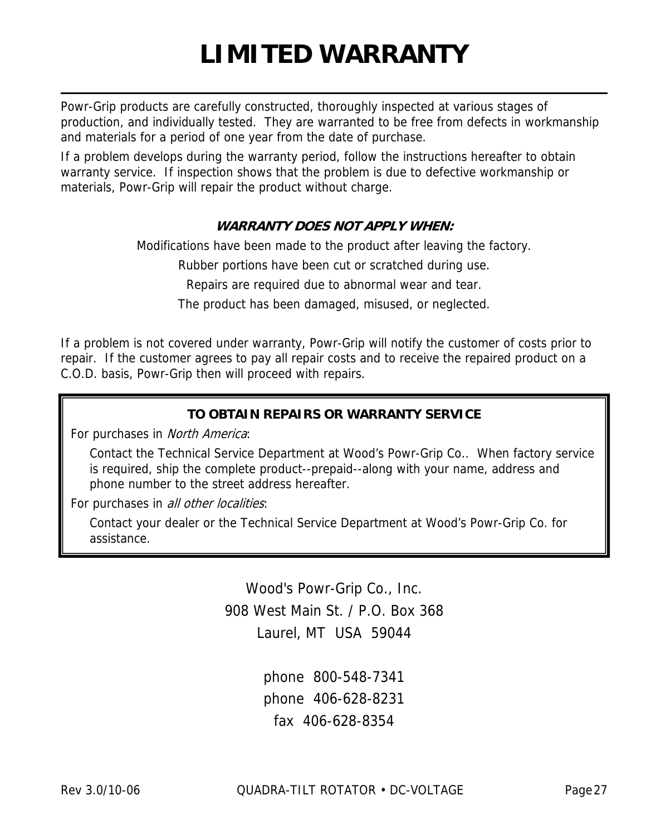# **LIMITED WARRANTY**

Powr-Grip products are carefully constructed, thoroughly inspected at various stages of production, and individually tested. They are warranted to be free from defects in workmanship and materials for a period of one year from the date of purchase.

If a problem develops during the warranty period, follow the instructions hereafter to obtain warranty service. If inspection shows that the problem is due to defective workmanship or materials, Powr-Grip will repair the product without charge.

#### **WARRANTY DOES NOT APPLY WHEN:**

Modifications have been made to the product after leaving the factory.

Rubber portions have been cut or scratched during use.

Repairs are required due to abnormal wear and tear.

The product has been damaged, misused, or neglected.

If a problem is not covered under warranty, Powr-Grip will notify the customer of costs prior to repair. If the customer agrees to pay all repair costs and to receive the repaired product on a C.O.D. basis, Powr-Grip then will proceed with repairs.

#### **TO OBTAIN REPAIRS OR WARRANTY SERVICE**

For purchases in North America:

Contact the Technical Service Department at Wood's Powr-Grip Co.. When factory service is required, ship the complete product--prepaid--along with your name, address and phone number to the street address hereafter.

For purchases in all other localities:

Contact your dealer or the Technical Service Department at Wood's Powr-Grip Co. for assistance.

> Wood's Powr-Grip Co., Inc. 908 West Main St. / P.O. Box 368 Laurel, MT USA 59044

> > phone 800-548-7341 phone 406-628-8231 fax 406-628-8354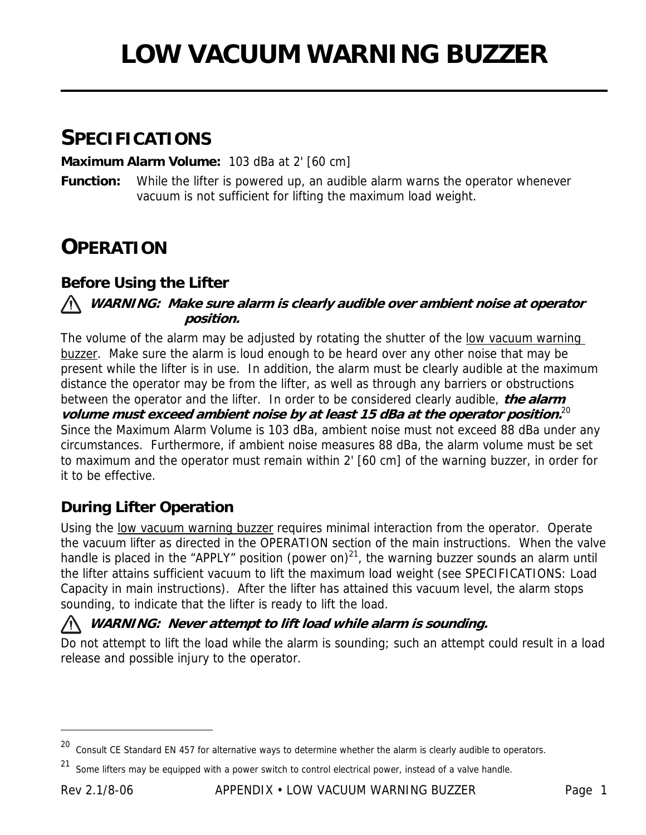# **SPECIFICATIONS**

**Maximum Alarm Volume:** 103 dBa at 2' [60 cm]

**Function:** While the lifter is powered up, an audible alarm warns the operator whenever vacuum is not sufficient for lifting the maximum load weight.

# **OPERATION**

### **Before Using the Lifter**

#### **WARNING: Make sure alarm is clearly audible over ambient noise at operator position.**

The volume of the alarm may be adjusted by rotating the shutter of the low vacuum warning buzzer. Make sure the alarm is loud enough to be heard over any other noise that may be present while the lifter is in use. In addition, the alarm must be clearly audible at the maximum distance the operator may be from the lifter, as well as through any barriers or obstructions between the operator and the lifter. In order to be considered clearly audible, **the alarm volume must exceed ambient noise by at least 15 dBa at the operator position.**20 Since the Maximum Alarm Volume is 103 dBa, ambient noise must not exceed 88 dBa under any circumstances. Furthermore, if ambient noise measures 88 dBa, the alarm volume must be set to maximum and the operator must remain within 2' [60 cm] of the warning buzzer, in order for it to be effective.

### **During Lifter Operation**

Using the low vacuum warning buzzer requires minimal interaction from the operator. Operate the vacuum lifter as directed in the OPERATION section of the main instructions. When the valve handle is placed in the "APPLY" position (power on) $^{21}$ , the warning buzzer sounds an alarm until the lifter attains sufficient vacuum to lift the maximum load weight (see SPECIFICATIONS: Load Capacity in main instructions). After the lifter has attained this vacuum level, the alarm stops sounding, to indicate that the lifter is ready to lift the load.

#### **WARNING: Never attempt to lift load while alarm is sounding.**

Do not attempt to lift the load while the alarm is sounding; such an attempt could result in a load release and possible injury to the operator.

 $20$  Consult CE Standard EN 457 for alternative ways to determine whether the alarm is clearly audible to operators.

<sup>21</sup> Some lifters may be equipped with a power switch to control electrical power, instead of a valve handle.